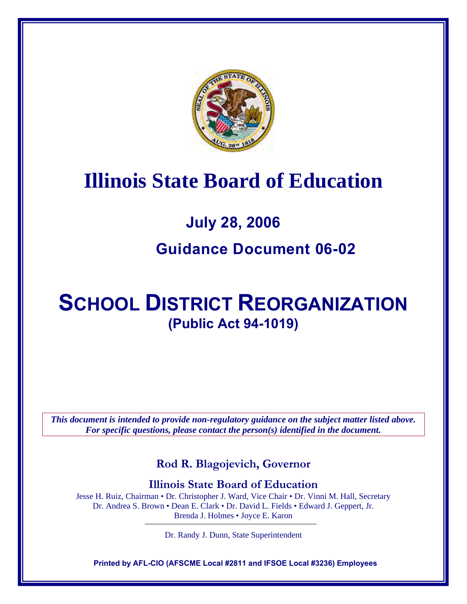

# **Illinois State Board of Education**

# **July 28, 2006 Guidance Document 06-02**

# **SCHOOL DISTRICT REORGANIZATION (Public Act 94-1019)**

*This document is intended to provide non-regulatory guidance on the subject matter listed above. For specific questions, please contact the person(s) identified in the document.* 

**Rod R. Blagojevich, Governor** 

**Illinois State Board of Education** 

Jesse H. Ruiz, Chairman • Dr. Christopher J. Ward, Vice Chair • Dr. Vinni M. Hall, Secretary Dr. Andrea S. Brown • Dean E. Clark • Dr. David L. Fields • Edward J. Geppert, Jr. Brenda J. Holmes • Joyce E. Karon

Dr. Randy J. Dunn, State Superintendent

**Printed by AFL-CIO (AFSCME Local #2811 and IFSOE Local #3236) Employees**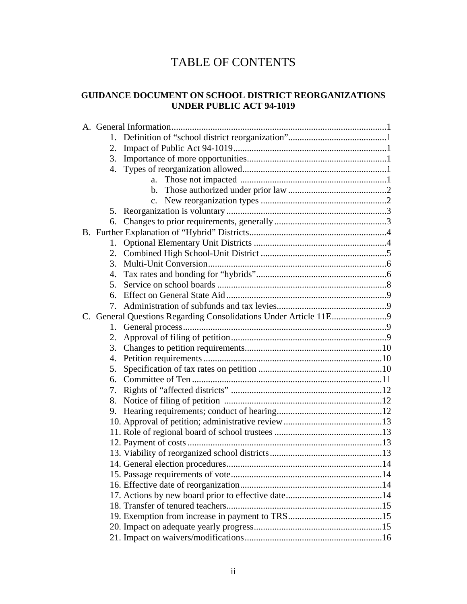# TABLE OF CONTENTS

#### **GUIDANCE DOCUMENT ON SCHOOL DISTRICT REORGANIZATIONS UNDER PUBLIC ACT 94-1019**

| 1.               |                |
|------------------|----------------|
| 2.               |                |
| 3.               |                |
| $\overline{4}$ . |                |
|                  | $a_{\cdot}$    |
|                  |                |
|                  | $\mathbf{c}$ . |
|                  |                |
| 6.               |                |
|                  |                |
| 1.               |                |
| 2.               |                |
| 3.               |                |
| $\mathbf{4}$ .   |                |
| .5.              |                |
| 6.               |                |
| 7.               |                |
|                  |                |
| 1.               |                |
| 2.               |                |
| 3.               |                |
| $\overline{4}$ . |                |
| 5.               |                |
| 6.               |                |
| 7.               |                |
| 8.               |                |
| 9.               |                |
|                  |                |
|                  |                |
|                  |                |
|                  |                |
|                  |                |
|                  |                |
|                  |                |
|                  |                |
|                  |                |
|                  |                |
|                  |                |
|                  |                |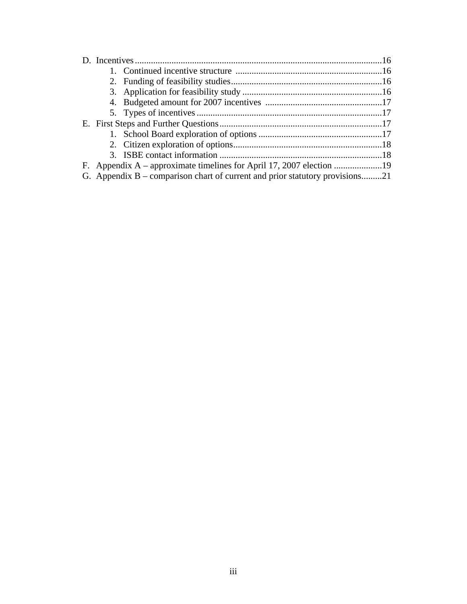|  | G. Appendix B – comparison chart of current and prior statutory provisions21 |  |
|--|------------------------------------------------------------------------------|--|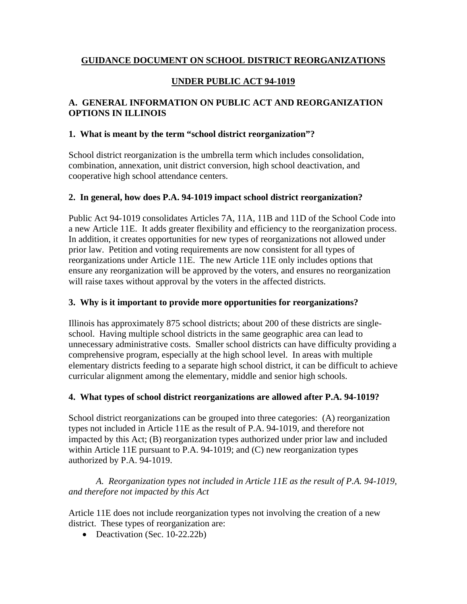#### **GUIDANCE DOCUMENT ON SCHOOL DISTRICT REORGANIZATIONS**

# **UNDER PUBLIC ACT 94-1019**

# **A. GENERAL INFORMATION ON PUBLIC ACT AND REORGANIZATION OPTIONS IN ILLINOIS**

#### **1. What is meant by the term "school district reorganization"?**

School district reorganization is the umbrella term which includes consolidation, combination, annexation, unit district conversion, high school deactivation, and cooperative high school attendance centers.

#### **2. In general, how does P.A. 94-1019 impact school district reorganization?**

Public Act 94-1019 consolidates Articles 7A, 11A, 11B and 11D of the School Code into a new Article 11E. It adds greater flexibility and efficiency to the reorganization process. In addition, it creates opportunities for new types of reorganizations not allowed under prior law. Petition and voting requirements are now consistent for all types of reorganizations under Article 11E. The new Article 11E only includes options that ensure any reorganization will be approved by the voters, and ensures no reorganization will raise taxes without approval by the voters in the affected districts.

#### **3. Why is it important to provide more opportunities for reorganizations?**

Illinois has approximately 875 school districts; about 200 of these districts are singleschool. Having multiple school districts in the same geographic area can lead to unnecessary administrative costs. Smaller school districts can have difficulty providing a comprehensive program, especially at the high school level. In areas with multiple elementary districts feeding to a separate high school district, it can be difficult to achieve curricular alignment among the elementary, middle and senior high schools.

#### **4. What types of school district reorganizations are allowed after P.A. 94-1019?**

School district reorganizations can be grouped into three categories: (A) reorganization types not included in Article 11E as the result of P.A. 94-1019, and therefore not impacted by this Act; (B) reorganization types authorized under prior law and included within Article 11E pursuant to P.A. 94-1019; and (C) new reorganization types authorized by P.A. 94-1019.

#### *A. Reorganization types not included in Article 11E as the result of P.A. 94-1019, and therefore not impacted by this Act*

Article 11E does not include reorganization types not involving the creation of a new district. These types of reorganization are:

• Deactivation (Sec. 10-22.22b)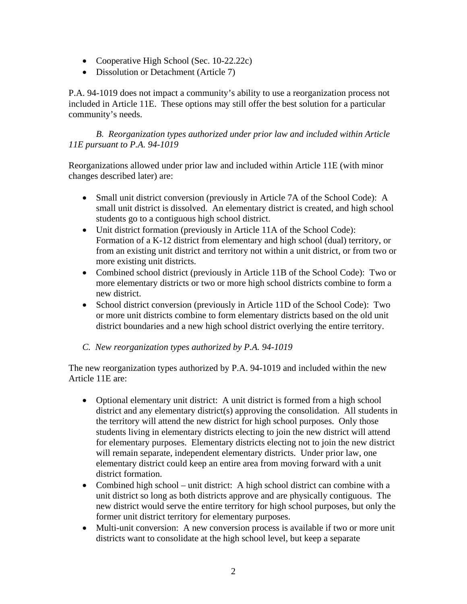- Cooperative High School (Sec. 10-22.22c)
- Dissolution or Detachment (Article 7)

P.A. 94-1019 does not impact a community's ability to use a reorganization process not included in Article 11E. These options may still offer the best solution for a particular community's needs.

*B. Reorganization types authorized under prior law and included within Article 11E pursuant to P.A. 94-1019* 

Reorganizations allowed under prior law and included within Article 11E (with minor changes described later) are:

- Small unit district conversion (previously in Article 7A of the School Code): A small unit district is dissolved. An elementary district is created, and high school students go to a contiguous high school district.
- Unit district formation (previously in Article 11A of the School Code): Formation of a K-12 district from elementary and high school (dual) territory, or from an existing unit district and territory not within a unit district, or from two or more existing unit districts.
- Combined school district (previously in Article 11B of the School Code): Two or more elementary districts or two or more high school districts combine to form a new district.
- School district conversion (previously in Article 11D of the School Code): Two or more unit districts combine to form elementary districts based on the old unit district boundaries and a new high school district overlying the entire territory.

#### *C. New reorganization types authorized by P.A. 94-1019*

The new reorganization types authorized by P.A. 94-1019 and included within the new Article 11E are:

- Optional elementary unit district: A unit district is formed from a high school district and any elementary district(s) approving the consolidation. All students in the territory will attend the new district for high school purposes. Only those students living in elementary districts electing to join the new district will attend for elementary purposes. Elementary districts electing not to join the new district will remain separate, independent elementary districts. Under prior law, one elementary district could keep an entire area from moving forward with a unit district formation.
- Combined high school unit district: A high school district can combine with a unit district so long as both districts approve and are physically contiguous. The new district would serve the entire territory for high school purposes, but only the former unit district territory for elementary purposes.
- Multi-unit conversion: A new conversion process is available if two or more unit districts want to consolidate at the high school level, but keep a separate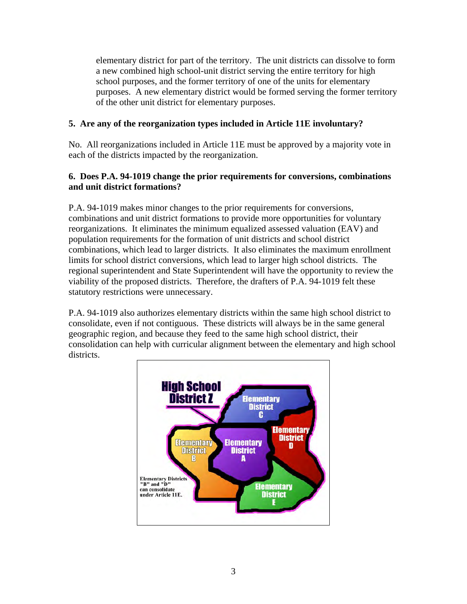elementary district for part of the territory. The unit districts can dissolve to form a new combined high school-unit district serving the entire territory for high school purposes, and the former territory of one of the units for elementary purposes. A new elementary district would be formed serving the former territory of the other unit district for elementary purposes.

# **5. Are any of the reorganization types included in Article 11E involuntary?**

No. All reorganizations included in Article 11E must be approved by a majority vote in each of the districts impacted by the reorganization.

# **6. Does P.A. 94-1019 change the prior requirements for conversions, combinations and unit district formations?**

P.A. 94-1019 makes minor changes to the prior requirements for conversions, combinations and unit district formations to provide more opportunities for voluntary reorganizations. It eliminates the minimum equalized assessed valuation (EAV) and population requirements for the formation of unit districts and school district combinations, which lead to larger districts. It also eliminates the maximum enrollment limits for school district conversions, which lead to larger high school districts. The regional superintendent and State Superintendent will have the opportunity to review the viability of the proposed districts. Therefore, the drafters of P.A. 94-1019 felt these statutory restrictions were unnecessary.

P.A. 94-1019 also authorizes elementary districts within the same high school district to consolidate, even if not contiguous. These districts will always be in the same general geographic region, and because they feed to the same high school district, their consolidation can help with curricular alignment between the elementary and high school districts.

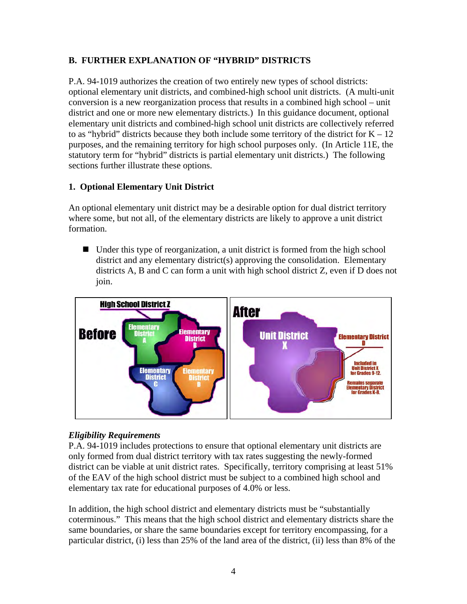# **B. FURTHER EXPLANATION OF "HYBRID" DISTRICTS**

P.A. 94-1019 authorizes the creation of two entirely new types of school districts: optional elementary unit districts, and combined-high school unit districts. (A multi-unit conversion is a new reorganization process that results in a combined high school – unit district and one or more new elementary districts.) In this guidance document, optional elementary unit districts and combined-high school unit districts are collectively referred to as "hybrid" districts because they both include some territory of the district for  $K - 12$ purposes, and the remaining territory for high school purposes only. (In Article 11E, the statutory term for "hybrid" districts is partial elementary unit districts.) The following sections further illustrate these options.

# **1. Optional Elementary Unit District**

An optional elementary unit district may be a desirable option for dual district territory where some, but not all, of the elementary districts are likely to approve a unit district formation.

■ Under this type of reorganization, a unit district is formed from the high school district and any elementary district(s) approving the consolidation. Elementary districts A, B and C can form a unit with high school district Z, even if D does not join.



#### *Eligibility Requirements*

P.A. 94-1019 includes protections to ensure that optional elementary unit districts are only formed from dual district territory with tax rates suggesting the newly-formed district can be viable at unit district rates. Specifically, territory comprising at least 51% of the EAV of the high school district must be subject to a combined high school and elementary tax rate for educational purposes of 4.0% or less.

In addition, the high school district and elementary districts must be "substantially coterminous." This means that the high school district and elementary districts share the same boundaries, or share the same boundaries except for territory encompassing, for a particular district, (i) less than 25% of the land area of the district, (ii) less than 8% of the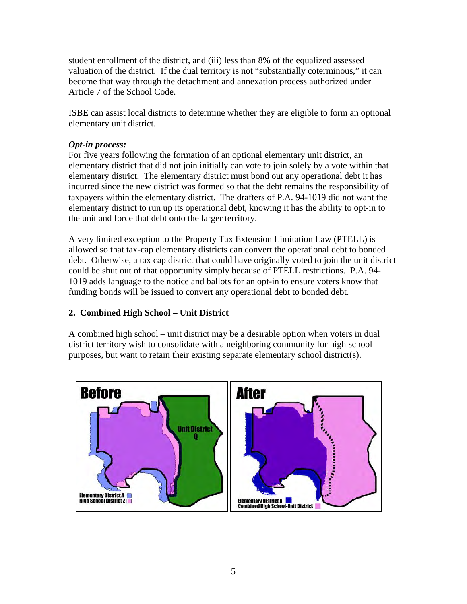student enrollment of the district, and (iii) less than 8% of the equalized assessed valuation of the district. If the dual territory is not "substantially coterminous," it can become that way through the detachment and annexation process authorized under Article 7 of the School Code.

ISBE can assist local districts to determine whether they are eligible to form an optional elementary unit district.

#### *Opt-in process:*

For five years following the formation of an optional elementary unit district, an elementary district that did not join initially can vote to join solely by a vote within that elementary district. The elementary district must bond out any operational debt it has incurred since the new district was formed so that the debt remains the responsibility of taxpayers within the elementary district. The drafters of P.A. 94-1019 did not want the elementary district to run up its operational debt, knowing it has the ability to opt-in to the unit and force that debt onto the larger territory.

A very limited exception to the Property Tax Extension Limitation Law (PTELL) is allowed so that tax-cap elementary districts can convert the operational debt to bonded debt. Otherwise, a tax cap district that could have originally voted to join the unit district could be shut out of that opportunity simply because of PTELL restrictions. P.A. 94- 1019 adds language to the notice and ballots for an opt-in to ensure voters know that funding bonds will be issued to convert any operational debt to bonded debt.

#### **2. Combined High School – Unit District**

A combined high school – unit district may be a desirable option when voters in dual district territory wish to consolidate with a neighboring community for high school purposes, but want to retain their existing separate elementary school district(s).

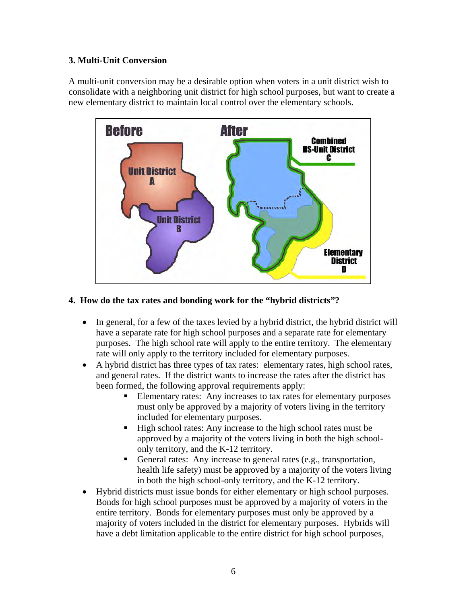# **3. Multi-Unit Conversion**

A multi-unit conversion may be a desirable option when voters in a unit district wish to consolidate with a neighboring unit district for high school purposes, but want to create a new elementary district to maintain local control over the elementary schools.



#### **4. How do the tax rates and bonding work for the "hybrid districts"?**

- In general, for a few of the taxes levied by a hybrid district, the hybrid district will have a separate rate for high school purposes and a separate rate for elementary purposes. The high school rate will apply to the entire territory. The elementary rate will only apply to the territory included for elementary purposes.
- A hybrid district has three types of tax rates: elementary rates, high school rates, and general rates. If the district wants to increase the rates after the district has been formed, the following approval requirements apply:
	- Elementary rates: Any increases to tax rates for elementary purposes must only be approved by a majority of voters living in the territory included for elementary purposes.
	- High school rates: Any increase to the high school rates must be approved by a majority of the voters living in both the high schoolonly territory, and the K-12 territory.
	- General rates: Any increase to general rates (e.g., transportation, health life safety) must be approved by a majority of the voters living in both the high school-only territory, and the K-12 territory.
- Hybrid districts must issue bonds for either elementary or high school purposes. Bonds for high school purposes must be approved by a majority of voters in the entire territory. Bonds for elementary purposes must only be approved by a majority of voters included in the district for elementary purposes. Hybrids will have a debt limitation applicable to the entire district for high school purposes,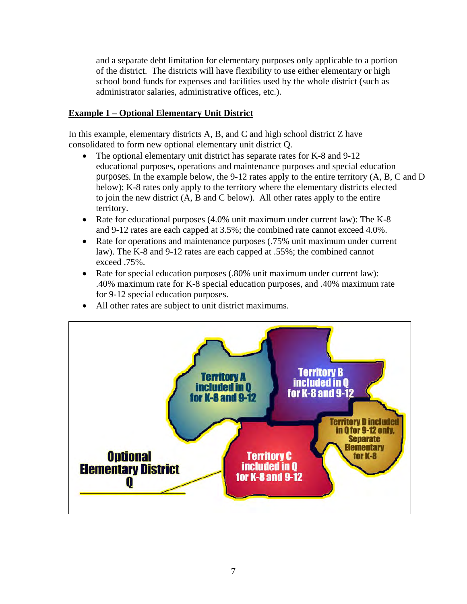and a separate debt limitation for elementary purposes only applicable to a portion of the district. The districts will have flexibility to use either elementary or high school bond funds for expenses and facilities used by the whole district (such as administrator salaries, administrative offices, etc.).

#### **Example 1 – Optional Elementary Unit District**

In this example, elementary districts A, B, and C and high school district Z have consolidated to form new optional elementary unit district Q.

- The optional elementary unit district has separate rates for K-8 and 9-12 educational purposes, operations and maintenance purposes and special education purposes. In the example below, the 9-12 rates apply to the entire territory (A, B, C and D below); K-8 rates only apply to the territory where the elementary districts elected to join the new district (A, B and C below). All other rates apply to the entire territory.
- Rate for educational purposes (4.0% unit maximum under current law): The K-8 and 9-12 rates are each capped at 3.5%; the combined rate cannot exceed 4.0%.
- Rate for operations and maintenance purposes (.75% unit maximum under current law). The K-8 and 9-12 rates are each capped at .55%; the combined cannot exceed .75%.
- Rate for special education purposes (.80% unit maximum under current law): .40% maximum rate for K-8 special education purposes, and .40% maximum rate for 9-12 special education purposes.
- All other rates are subject to unit district maximums.

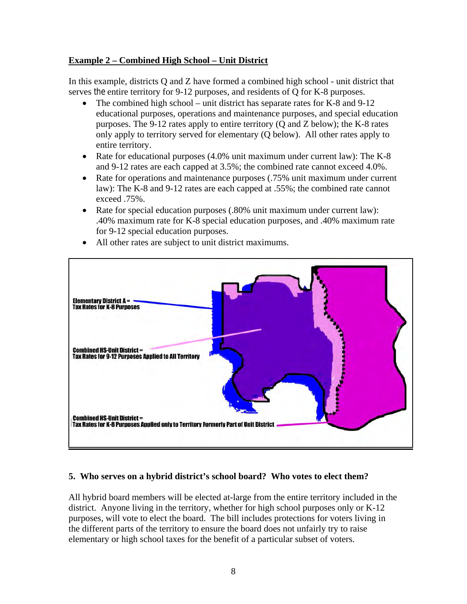#### **Example 2 – Combined High School – Unit District**

In this example, districts Q and Z have formed a combined high school - unit district that serves the entire territory for 9-12 purposes, and residents of Q for K-8 purposes.

- The combined high school unit district has separate rates for K-8 and 9-12 educational purposes, operations and maintenance purposes, and special education purposes. The 9-12 rates apply to entire territory (Q and Z below); the K-8 rates only apply to territory served for elementary (Q below). All other rates apply to entire territory.
- Rate for educational purposes  $(4.0\%$  unit maximum under current law): The K-8 and 9-12 rates are each capped at 3.5%; the combined rate cannot exceed 4.0%.
- Rate for operations and maintenance purposes (.75% unit maximum under current law): The K-8 and 9-12 rates are each capped at .55%; the combined rate cannot exceed .75%.
- Rate for special education purposes (.80% unit maximum under current law): .40% maximum rate for K-8 special education purposes, and .40% maximum rate for 9-12 special education purposes.



• All other rates are subject to unit district maximums.

# **5. Who serves on a hybrid district's school board? Who votes to elect them?**

All hybrid board members will be elected at-large from the entire territory included in the district. Anyone living in the territory, whether for high school purposes only or K-12 purposes, will vote to elect the board. The bill includes protections for voters living in the different parts of the territory to ensure the board does not unfairly try to raise elementary or high school taxes for the benefit of a particular subset of voters.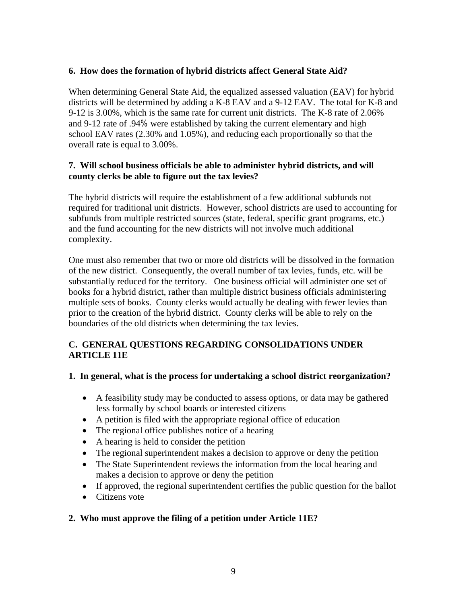#### **6. How does the formation of hybrid districts affect General State Aid?**

When determining General State Aid, the equalized assessed valuation (EAV) for hybrid districts will be determined by adding a K-8 EAV and a 9-12 EAV. The total for K-8 and 9-12 is 3.00%, which is the same rate for current unit districts. The K-8 rate of 2.06% and 9-12 rate of .94% were established by taking the current elementary and high school EAV rates (2.30% and 1.05%), and reducing each proportionally so that the overall rate is equal to 3.00%.

#### **7. Will school business officials be able to administer hybrid districts, and will county clerks be able to figure out the tax levies?**

The hybrid districts will require the establishment of a few additional subfunds not required for traditional unit districts. However, school districts are used to accounting for subfunds from multiple restricted sources (state, federal, specific grant programs, etc.) and the fund accounting for the new districts will not involve much additional complexity.

One must also remember that two or more old districts will be dissolved in the formation of the new district. Consequently, the overall number of tax levies, funds, etc. will be substantially reduced for the territory. One business official will administer one set of books for a hybrid district, rather than multiple district business officials administering multiple sets of books. County clerks would actually be dealing with fewer levies than prior to the creation of the hybrid district. County clerks will be able to rely on the boundaries of the old districts when determining the tax levies.

# **C. GENERAL QUESTIONS REGARDING CONSOLIDATIONS UNDER ARTICLE 11E**

#### **1. In general, what is the process for undertaking a school district reorganization?**

- A feasibility study may be conducted to assess options, or data may be gathered less formally by school boards or interested citizens
- A petition is filed with the appropriate regional office of education
- The regional office publishes notice of a hearing
- A hearing is held to consider the petition
- The regional superintendent makes a decision to approve or deny the petition
- The State Superintendent reviews the information from the local hearing and makes a decision to approve or deny the petition
- If approved, the regional superintendent certifies the public question for the ballot
- Citizens vote

# **2. Who must approve the filing of a petition under Article 11E?**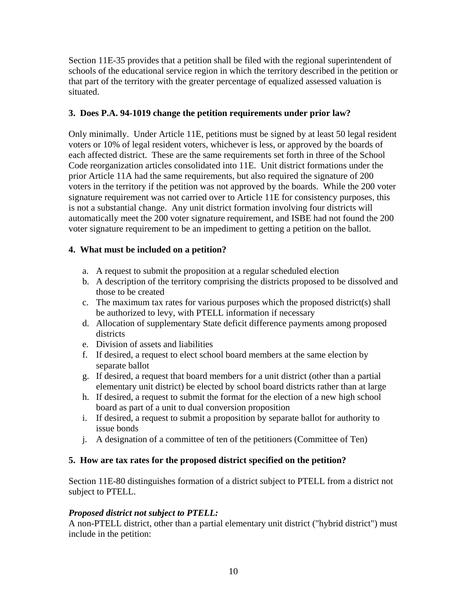Section 11E-35 provides that a petition shall be filed with the regional superintendent of schools of the educational service region in which the territory described in the petition or that part of the territory with the greater percentage of equalized assessed valuation is situated.

# **3. Does P.A. 94-1019 change the petition requirements under prior law?**

Only minimally. Under Article 11E, petitions must be signed by at least 50 legal resident voters or 10% of legal resident voters, whichever is less, or approved by the boards of each affected district. These are the same requirements set forth in three of the School Code reorganization articles consolidated into 11E. Unit district formations under the prior Article 11A had the same requirements, but also required the signature of 200 voters in the territory if the petition was not approved by the boards. While the 200 voter signature requirement was not carried over to Article 11E for consistency purposes, this is not a substantial change. Any unit district formation involving four districts will automatically meet the 200 voter signature requirement, and ISBE had not found the 200 voter signature requirement to be an impediment to getting a petition on the ballot.

# **4. What must be included on a petition?**

- a. A request to submit the proposition at a regular scheduled election
- b. A description of the territory comprising the districts proposed to be dissolved and those to be created
- c. The maximum tax rates for various purposes which the proposed district(s) shall be authorized to levy, with PTELL information if necessary
- d. Allocation of supplementary State deficit difference payments among proposed districts
- e. Division of assets and liabilities
- f. If desired, a request to elect school board members at the same election by separate ballot
- g. If desired, a request that board members for a unit district (other than a partial elementary unit district) be elected by school board districts rather than at large
- h. If desired, a request to submit the format for the election of a new high school board as part of a unit to dual conversion proposition
- i. If desired, a request to submit a proposition by separate ballot for authority to issue bonds
- j. A designation of a committee of ten of the petitioners (Committee of Ten)

#### **5. How are tax rates for the proposed district specified on the petition?**

Section 11E-80 distinguishes formation of a district subject to PTELL from a district not subject to PTELL.

#### *Proposed district not subject to PTELL:*

A non-PTELL district, other than a partial elementary unit district ("hybrid district") must include in the petition: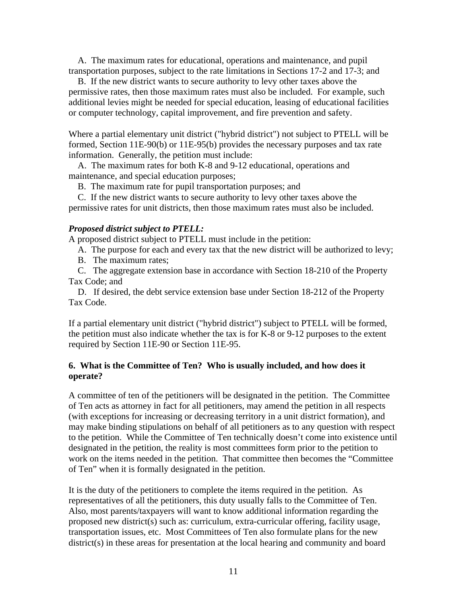A. The maximum rates for educational, operations and maintenance, and pupil transportation purposes, subject to the rate limitations in Sections 17-2 and 17-3; and

 B. If the new district wants to secure authority to levy other taxes above the permissive rates, then those maximum rates must also be included. For example, such additional levies might be needed for special education, leasing of educational facilities or computer technology, capital improvement, and fire prevention and safety.

Where a partial elementary unit district ("hybrid district") not subject to PTELL will be formed, Section 11E-90(b) or 11E-95(b) provides the necessary purposes and tax rate information. Generally, the petition must include:

 A. The maximum rates for both K-8 and 9-12 educational, operations and maintenance, and special education purposes;

B. The maximum rate for pupil transportation purposes; and

 C. If the new district wants to secure authority to levy other taxes above the permissive rates for unit districts, then those maximum rates must also be included.

#### *Proposed district subject to PTELL:*

A proposed district subject to PTELL must include in the petition:

A. The purpose for each and every tax that the new district will be authorized to levy;

B. The maximum rates;

 C. The aggregate extension base in accordance with Section 18-210 of the Property Tax Code; and

 D. If desired, the debt service extension base under Section 18-212 of the Property Tax Code.

If a partial elementary unit district ("hybrid district") subject to PTELL will be formed, the petition must also indicate whether the tax is for K-8 or 9-12 purposes to the extent required by Section 11E-90 or Section 11E-95.

#### **6. What is the Committee of Ten? Who is usually included, and how does it operate?**

A committee of ten of the petitioners will be designated in the petition. The Committee of Ten acts as attorney in fact for all petitioners, may amend the petition in all respects (with exceptions for increasing or decreasing territory in a unit district formation), and may make binding stipulations on behalf of all petitioners as to any question with respect to the petition. While the Committee of Ten technically doesn't come into existence until designated in the petition, the reality is most committees form prior to the petition to work on the items needed in the petition. That committee then becomes the "Committee of Ten" when it is formally designated in the petition.

It is the duty of the petitioners to complete the items required in the petition. As representatives of all the petitioners, this duty usually falls to the Committee of Ten. Also, most parents/taxpayers will want to know additional information regarding the proposed new district(s) such as: curriculum, extra-curricular offering, facility usage, transportation issues, etc. Most Committees of Ten also formulate plans for the new district(s) in these areas for presentation at the local hearing and community and board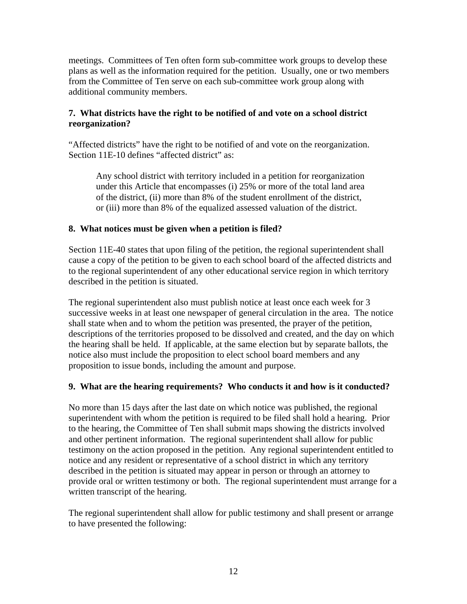meetings. Committees of Ten often form sub-committee work groups to develop these plans as well as the information required for the petition. Usually, one or two members from the Committee of Ten serve on each sub-committee work group along with additional community members.

#### **7. What districts have the right to be notified of and vote on a school district reorganization?**

"Affected districts" have the right to be notified of and vote on the reorganization. Section 11E-10 defines "affected district" as:

Any school district with territory included in a petition for reorganization under this Article that encompasses (i) 25% or more of the total land area of the district, (ii) more than 8% of the student enrollment of the district, or (iii) more than 8% of the equalized assessed valuation of the district.

#### **8. What notices must be given when a petition is filed?**

Section 11E-40 states that upon filing of the petition, the regional superintendent shall cause a copy of the petition to be given to each school board of the affected districts and to the regional superintendent of any other educational service region in which territory described in the petition is situated.

The regional superintendent also must publish notice at least once each week for 3 successive weeks in at least one newspaper of general circulation in the area. The notice shall state when and to whom the petition was presented, the prayer of the petition, descriptions of the territories proposed to be dissolved and created, and the day on which the hearing shall be held. If applicable, at the same election but by separate ballots, the notice also must include the proposition to elect school board members and any proposition to issue bonds, including the amount and purpose.

#### **9. What are the hearing requirements? Who conducts it and how is it conducted?**

No more than 15 days after the last date on which notice was published, the regional superintendent with whom the petition is required to be filed shall hold a hearing. Prior to the hearing, the Committee of Ten shall submit maps showing the districts involved and other pertinent information. The regional superintendent shall allow for public testimony on the action proposed in the petition. Any regional superintendent entitled to notice and any resident or representative of a school district in which any territory described in the petition is situated may appear in person or through an attorney to provide oral or written testimony or both. The regional superintendent must arrange for a written transcript of the hearing.

The regional superintendent shall allow for public testimony and shall present or arrange to have presented the following: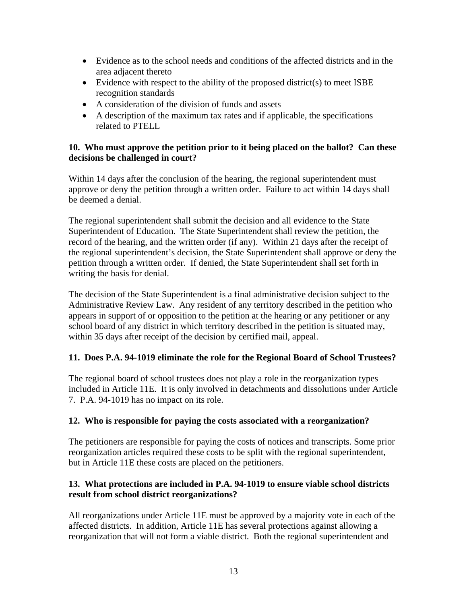- Evidence as to the school needs and conditions of the affected districts and in the area adjacent thereto
- Evidence with respect to the ability of the proposed district(s) to meet ISBE recognition standards
- A consideration of the division of funds and assets
- A description of the maximum tax rates and if applicable, the specifications related to PTELL

#### **10. Who must approve the petition prior to it being placed on the ballot? Can these decisions be challenged in court?**

Within 14 days after the conclusion of the hearing, the regional superintendent must approve or deny the petition through a written order. Failure to act within 14 days shall be deemed a denial.

The regional superintendent shall submit the decision and all evidence to the State Superintendent of Education. The State Superintendent shall review the petition, the record of the hearing, and the written order (if any). Within 21 days after the receipt of the regional superintendent's decision, the State Superintendent shall approve or deny the petition through a written order. If denied, the State Superintendent shall set forth in writing the basis for denial.

The decision of the State Superintendent is a final administrative decision subject to the Administrative Review Law. Any resident of any territory described in the petition who appears in support of or opposition to the petition at the hearing or any petitioner or any school board of any district in which territory described in the petition is situated may, within 35 days after receipt of the decision by certified mail, appeal.

#### **11. Does P.A. 94-1019 eliminate the role for the Regional Board of School Trustees?**

The regional board of school trustees does not play a role in the reorganization types included in Article 11E. It is only involved in detachments and dissolutions under Article 7. P.A. 94-1019 has no impact on its role.

#### **12. Who is responsible for paying the costs associated with a reorganization?**

The petitioners are responsible for paying the costs of notices and transcripts. Some prior reorganization articles required these costs to be split with the regional superintendent, but in Article 11E these costs are placed on the petitioners.

#### **13. What protections are included in P.A. 94-1019 to ensure viable school districts result from school district reorganizations?**

All reorganizations under Article 11E must be approved by a majority vote in each of the affected districts. In addition, Article 11E has several protections against allowing a reorganization that will not form a viable district. Both the regional superintendent and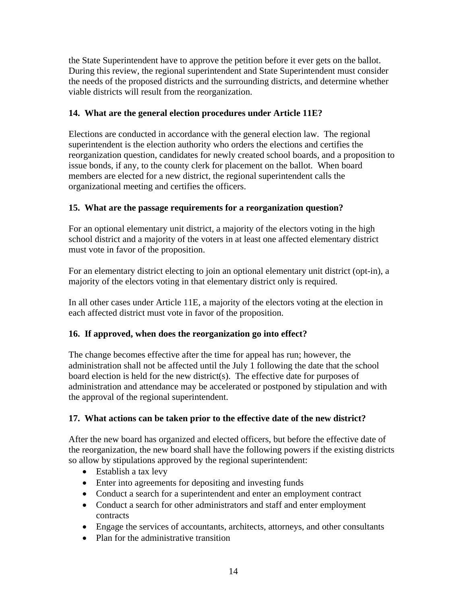the State Superintendent have to approve the petition before it ever gets on the ballot. During this review, the regional superintendent and State Superintendent must consider the needs of the proposed districts and the surrounding districts, and determine whether viable districts will result from the reorganization.

# **14. What are the general election procedures under Article 11E?**

Elections are conducted in accordance with the general election law. The regional superintendent is the election authority who orders the elections and certifies the reorganization question, candidates for newly created school boards, and a proposition to issue bonds, if any, to the county clerk for placement on the ballot. When board members are elected for a new district, the regional superintendent calls the organizational meeting and certifies the officers.

# **15. What are the passage requirements for a reorganization question?**

For an optional elementary unit district, a majority of the electors voting in the high school district and a majority of the voters in at least one affected elementary district must vote in favor of the proposition.

For an elementary district electing to join an optional elementary unit district (opt-in), a majority of the electors voting in that elementary district only is required.

In all other cases under Article 11E, a majority of the electors voting at the election in each affected district must vote in favor of the proposition.

# **16. If approved, when does the reorganization go into effect?**

The change becomes effective after the time for appeal has run; however, the administration shall not be affected until the July 1 following the date that the school board election is held for the new district(s). The effective date for purposes of administration and attendance may be accelerated or postponed by stipulation and with the approval of the regional superintendent.

# **17. What actions can be taken prior to the effective date of the new district?**

After the new board has organized and elected officers, but before the effective date of the reorganization, the new board shall have the following powers if the existing districts so allow by stipulations approved by the regional superintendent:

- Establish a tax levy
- Enter into agreements for depositing and investing funds
- Conduct a search for a superintendent and enter an employment contract
- Conduct a search for other administrators and staff and enter employment contracts
- Engage the services of accountants, architects, attorneys, and other consultants
- Plan for the administrative transition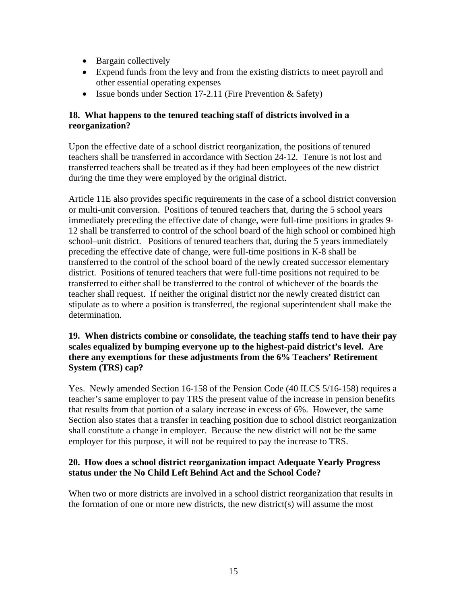- Bargain collectively
- Expend funds from the levy and from the existing districts to meet payroll and other essential operating expenses
- Issue bonds under Section 17-2.11 (Fire Prevention & Safety)

#### **18. What happens to the tenured teaching staff of districts involved in a reorganization?**

Upon the effective date of a school district reorganization, the positions of tenured teachers shall be transferred in accordance with Section 24-12. Tenure is not lost and transferred teachers shall be treated as if they had been employees of the new district during the time they were employed by the original district.

Article 11E also provides specific requirements in the case of a school district conversion or multi-unit conversion. Positions of tenured teachers that, during the 5 school years immediately preceding the effective date of change, were full-time positions in grades 9- 12 shall be transferred to control of the school board of the high school or combined high school–unit district. Positions of tenured teachers that, during the 5 years immediately preceding the effective date of change, were full-time positions in K-8 shall be transferred to the control of the school board of the newly created successor elementary district. Positions of tenured teachers that were full-time positions not required to be transferred to either shall be transferred to the control of whichever of the boards the teacher shall request. If neither the original district nor the newly created district can stipulate as to where a position is transferred, the regional superintendent shall make the determination.

#### **19. When districts combine or consolidate, the teaching staffs tend to have their pay scales equalized by bumping everyone up to the highest-paid district's level. Are there any exemptions for these adjustments from the 6% Teachers' Retirement System (TRS) cap?**

Yes. Newly amended Section 16-158 of the Pension Code (40 ILCS 5/16-158) requires a teacher's same employer to pay TRS the present value of the increase in pension benefits that results from that portion of a salary increase in excess of 6%. However, the same Section also states that a transfer in teaching position due to school district reorganization shall constitute a change in employer. Because the new district will not be the same employer for this purpose, it will not be required to pay the increase to TRS.

#### **20. How does a school district reorganization impact Adequate Yearly Progress status under the No Child Left Behind Act and the School Code?**

When two or more districts are involved in a school district reorganization that results in the formation of one or more new districts, the new district(s) will assume the most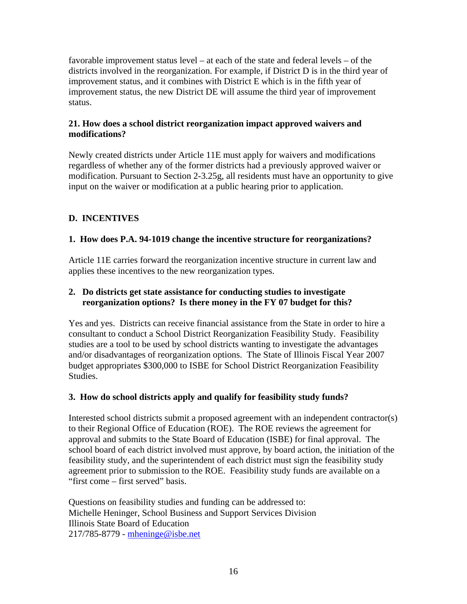favorable improvement status level – at each of the state and federal levels – of the districts involved in the reorganization. For example, if District D is in the third year of improvement status, and it combines with District E which is in the fifth year of improvement status, the new District DE will assume the third year of improvement status.

#### **21. How does a school district reorganization impact approved waivers and modifications?**

Newly created districts under Article 11E must apply for waivers and modifications regardless of whether any of the former districts had a previously approved waiver or modification. Pursuant to Section 2-3.25g, all residents must have an opportunity to give input on the waiver or modification at a public hearing prior to application.

# **D. INCENTIVES**

# **1. How does P.A. 94-1019 change the incentive structure for reorganizations?**

Article 11E carries forward the reorganization incentive structure in current law and applies these incentives to the new reorganization types.

#### **2. Do districts get state assistance for conducting studies to investigate reorganization options? Is there money in the FY 07 budget for this?**

Yes and yes. Districts can receive financial assistance from the State in order to hire a consultant to conduct a School District Reorganization Feasibility Study. Feasibility studies are a tool to be used by school districts wanting to investigate the advantages and/or disadvantages of reorganization options. The State of Illinois Fiscal Year 2007 budget appropriates \$300,000 to ISBE for School District Reorganization Feasibility Studies.

#### **3. How do school districts apply and qualify for feasibility study funds?**

Interested school districts submit a proposed agreement with an independent contractor(s) to their Regional Office of Education (ROE). The ROE reviews the agreement for approval and submits to the State Board of Education (ISBE) for final approval. The school board of each district involved must approve, by board action, the initiation of the feasibility study, and the superintendent of each district must sign the feasibility study agreement prior to submission to the ROE. Feasibility study funds are available on a "first come – first served" basis.

Questions on feasibility studies and funding can be addressed to: Michelle Heninger, School Business and Support Services Division Illinois State Board of Education 217/785-8779 - mheninge@isbe.net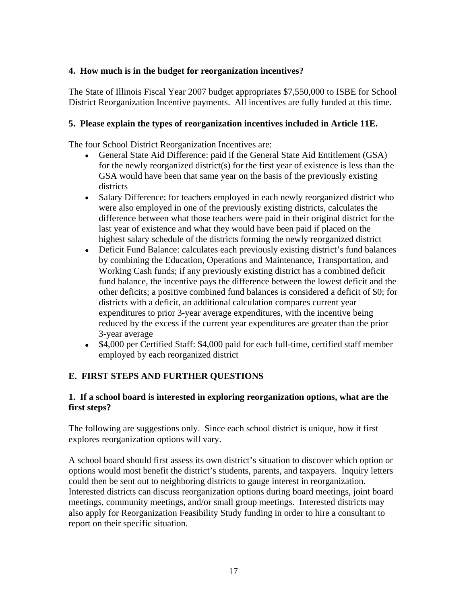#### **4. How much is in the budget for reorganization incentives?**

The State of Illinois Fiscal Year 2007 budget appropriates \$7,550,000 to ISBE for School District Reorganization Incentive payments. All incentives are fully funded at this time.

#### **5. Please explain the types of reorganization incentives included in Article 11E.**

The four School District Reorganization Incentives are:

- General State Aid Difference: paid if the General State Aid Entitlement (GSA) for the newly reorganized district(s) for the first year of existence is less than the GSA would have been that same year on the basis of the previously existing districts
- Salary Difference: for teachers employed in each newly reorganized district who were also employed in one of the previously existing districts, calculates the difference between what those teachers were paid in their original district for the last year of existence and what they would have been paid if placed on the highest salary schedule of the districts forming the newly reorganized district
- Deficit Fund Balance: calculates each previously existing district's fund balances by combining the Education, Operations and Maintenance, Transportation, and Working Cash funds; if any previously existing district has a combined deficit fund balance, the incentive pays the difference between the lowest deficit and the other deficits; a positive combined fund balances is considered a deficit of \$0; for districts with a deficit, an additional calculation compares current year expenditures to prior 3-year average expenditures, with the incentive being reduced by the excess if the current year expenditures are greater than the prior 3-year average
- \$4,000 per Certified Staff: \$4,000 paid for each full-time, certified staff member employed by each reorganized district

# **E. FIRST STEPS AND FURTHER QUESTIONS**

#### **1. If a school board is interested in exploring reorganization options, what are the first steps?**

The following are suggestions only. Since each school district is unique, how it first explores reorganization options will vary.

A school board should first assess its own district's situation to discover which option or options would most benefit the district's students, parents, and taxpayers. Inquiry letters could then be sent out to neighboring districts to gauge interest in reorganization. Interested districts can discuss reorganization options during board meetings, joint board meetings, community meetings, and/or small group meetings. Interested districts may also apply for Reorganization Feasibility Study funding in order to hire a consultant to report on their specific situation.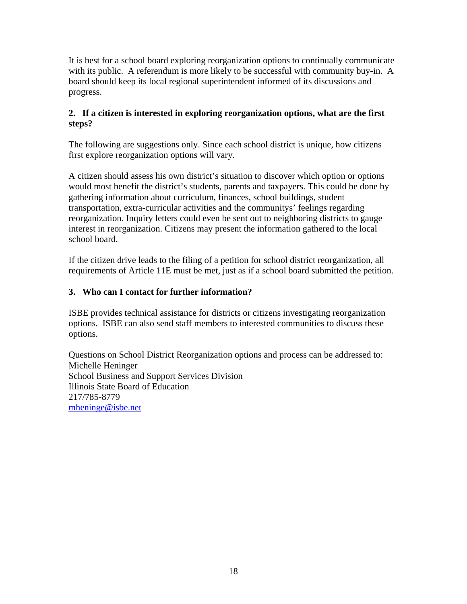It is best for a school board exploring reorganization options to continually communicate with its public. A referendum is more likely to be successful with community buy-in. A board should keep its local regional superintendent informed of its discussions and progress.

#### **2. If a citizen is interested in exploring reorganization options, what are the first steps?**

The following are suggestions only. Since each school district is unique, how citizens first explore reorganization options will vary.

A citizen should assess his own district's situation to discover which option or options would most benefit the district's students, parents and taxpayers. This could be done by gathering information about curriculum, finances, school buildings, student transportation, extra-curricular activities and the communitys' feelings regarding reorganization. Inquiry letters could even be sent out to neighboring districts to gauge interest in reorganization. Citizens may present the information gathered to the local school board.

If the citizen drive leads to the filing of a petition for school district reorganization, all requirements of Article 11E must be met, just as if a school board submitted the petition.

# **3. Who can I contact for further information?**

ISBE provides technical assistance for districts or citizens investigating reorganization options. ISBE can also send staff members to interested communities to discuss these options.

Questions on School District Reorganization options and process can be addressed to: Michelle Heninger School Business and Support Services Division Illinois State Board of Education 217/785-8779 mheninge@isbe.net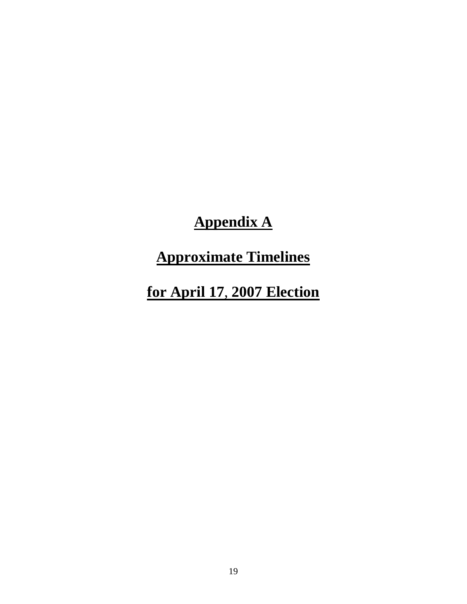**Appendix A**

**Approximate Timelines**

**for April 17**, **2007 Election**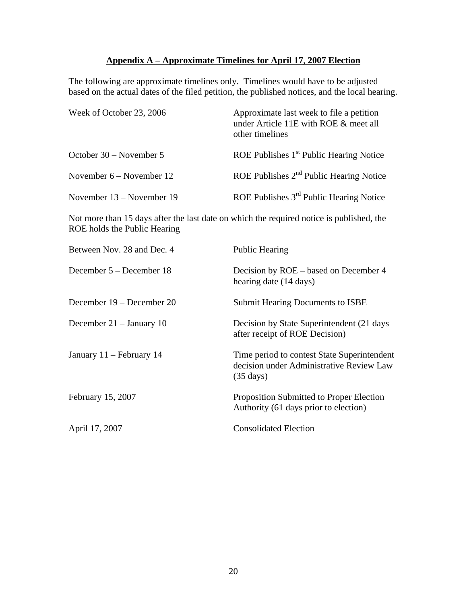# **Appendix A – Approximate Timelines for April 17**, **2007 Election**

The following are approximate timelines only. Timelines would have to be adjusted based on the actual dates of the filed petition, the published notices, and the local hearing.

| Week of October 23, 2006   | Approximate last week to file a petition<br>under Article 11E with ROE & meet all<br>other timelines |  |  |
|----------------------------|------------------------------------------------------------------------------------------------------|--|--|
| October 30 – November 5    | ROE Publishes $1st$ Public Hearing Notice                                                            |  |  |
| November $6 -$ November 12 | ROE Publishes $2nd$ Public Hearing Notice                                                            |  |  |
| November 13 – November 19  | ROE Publishes $3rd$ Public Hearing Notice                                                            |  |  |

Not more than 15 days after the last date on which the required notice is published, the ROE holds the Public Hearing

| Between Nov. 28 and Dec. 4 | <b>Public Hearing</b>                                                                                          |
|----------------------------|----------------------------------------------------------------------------------------------------------------|
| December 5 – December 18   | Decision by ROE – based on December 4<br>hearing date (14 days)                                                |
| December 19 – December 20  | <b>Submit Hearing Documents to ISBE</b>                                                                        |
| December $21 -$ January 10 | Decision by State Superintendent (21 days)<br>after receipt of ROE Decision)                                   |
| January 11 – February 14   | Time period to contest State Superintendent<br>decision under Administrative Review Law<br>$(35 \text{ days})$ |
| February 15, 2007          | Proposition Submitted to Proper Election<br>Authority (61 days prior to election)                              |
| April 17, 2007             | <b>Consolidated Election</b>                                                                                   |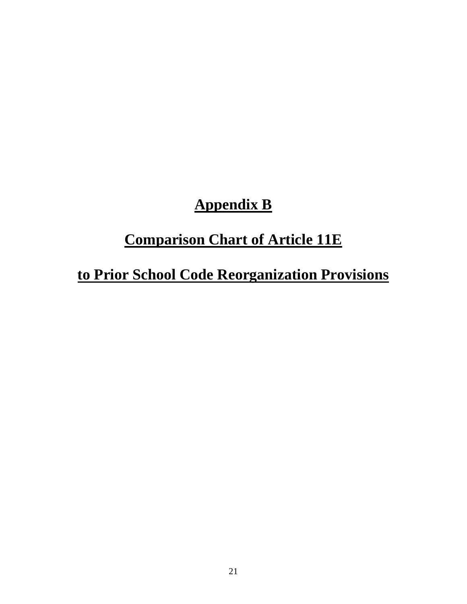# **Appendix B**

# **Comparison Chart of Article 11E**

# **to Prior School Code Reorganization Provisions**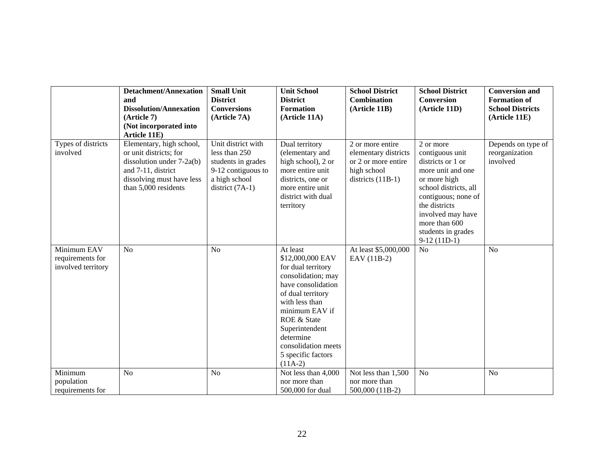|                                                       | <b>Detachment/Annexation</b><br>and<br><b>Dissolution/Annexation</b><br>(Article 7)<br>(Not incorporated into<br>Article 11E)                              | <b>Small Unit</b><br><b>District</b><br><b>Conversions</b><br>(Article 7A)                                            | <b>Unit School</b><br><b>District</b><br><b>Formation</b><br>(Article 11A)                                                                                                                                                                                      | <b>School District</b><br><b>Combination</b><br>(Article 11B)                                         | <b>School District</b><br><b>Conversion</b><br>(Article 11D)                                                                                                                                                                         | <b>Conversion and</b><br><b>Formation of</b><br><b>School Districts</b><br>(Article 11E) |
|-------------------------------------------------------|------------------------------------------------------------------------------------------------------------------------------------------------------------|-----------------------------------------------------------------------------------------------------------------------|-----------------------------------------------------------------------------------------------------------------------------------------------------------------------------------------------------------------------------------------------------------------|-------------------------------------------------------------------------------------------------------|--------------------------------------------------------------------------------------------------------------------------------------------------------------------------------------------------------------------------------------|------------------------------------------------------------------------------------------|
| Types of districts<br>involved                        | Elementary, high school,<br>or unit districts; for<br>dissolution under 7-2a(b)<br>and 7-11, district<br>dissolving must have less<br>than 5,000 residents | Unit district with<br>less than 250<br>students in grades<br>9-12 contiguous to<br>a high school<br>district $(7A-1)$ | Dual territory<br>(elementary and<br>high school), 2 or<br>more entire unit<br>districts, one or<br>more entire unit<br>district with dual<br>territory                                                                                                         | 2 or more entire<br>elementary districts<br>or 2 or more entire<br>high school<br>districts $(11B-1)$ | 2 or more<br>contiguous unit<br>districts or 1 or<br>more unit and one<br>or more high<br>school districts, all<br>contiguous; none of<br>the districts<br>involved may have<br>more than 600<br>students in grades<br>$9-12(11D-1)$ | Depends on type of<br>reorganization<br>involved                                         |
| Minimum EAV<br>requirements for<br>involved territory | N <sub>o</sub>                                                                                                                                             | N <sub>o</sub>                                                                                                        | At least<br>\$12,000,000 EAV<br>for dual territory<br>consolidation; may<br>have consolidation<br>of dual territory<br>with less than<br>minimum EAV if<br>ROE & State<br>Superintendent<br>determine<br>consolidation meets<br>5 specific factors<br>$(11A-2)$ | At least \$5,000,000<br>EAV (11B-2)                                                                   | N <sub>o</sub>                                                                                                                                                                                                                       | N <sub>o</sub>                                                                           |
| Minimum<br>population<br>requirements for             | N <sub>o</sub>                                                                                                                                             | N <sub>o</sub>                                                                                                        | Not less than 4,000<br>nor more than<br>500,000 for dual                                                                                                                                                                                                        | Not less than 1,500<br>nor more than<br>500,000 (11B-2)                                               | N <sub>o</sub>                                                                                                                                                                                                                       | N <sub>o</sub>                                                                           |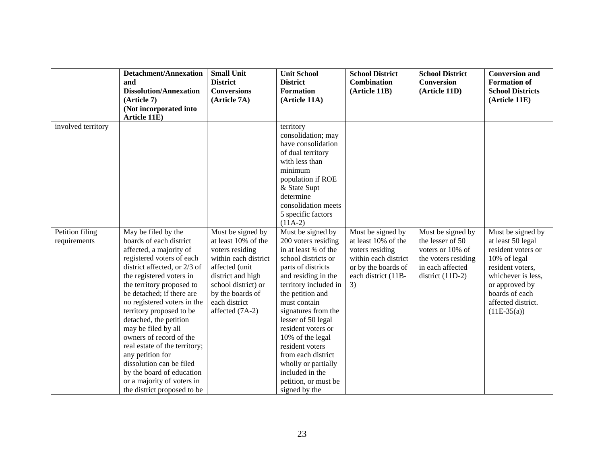|                                 | <b>Detachment/Annexation</b><br>and                                                                                                                                                                                                                                                                                                                                                                                                                                                                                                            | <b>Small Unit</b><br><b>District</b>                                                                                                                                                                      | <b>Unit School</b><br><b>District</b>                                                                                                                                                                                                                                                                                                                                                                                 | <b>School District</b><br><b>Combination</b>                                                                                            | <b>School District</b><br><b>Conversion</b>                                                                                | <b>Conversion and</b><br><b>Formation of</b>                                                                                                                                                      |
|---------------------------------|------------------------------------------------------------------------------------------------------------------------------------------------------------------------------------------------------------------------------------------------------------------------------------------------------------------------------------------------------------------------------------------------------------------------------------------------------------------------------------------------------------------------------------------------|-----------------------------------------------------------------------------------------------------------------------------------------------------------------------------------------------------------|-----------------------------------------------------------------------------------------------------------------------------------------------------------------------------------------------------------------------------------------------------------------------------------------------------------------------------------------------------------------------------------------------------------------------|-----------------------------------------------------------------------------------------------------------------------------------------|----------------------------------------------------------------------------------------------------------------------------|---------------------------------------------------------------------------------------------------------------------------------------------------------------------------------------------------|
|                                 | <b>Dissolution/Annexation</b>                                                                                                                                                                                                                                                                                                                                                                                                                                                                                                                  | <b>Conversions</b>                                                                                                                                                                                        | <b>Formation</b>                                                                                                                                                                                                                                                                                                                                                                                                      | (Article 11B)                                                                                                                           | (Article 11D)                                                                                                              | <b>School Districts</b>                                                                                                                                                                           |
|                                 | (Article 7)                                                                                                                                                                                                                                                                                                                                                                                                                                                                                                                                    | (Article 7A)                                                                                                                                                                                              | (Article 11A)                                                                                                                                                                                                                                                                                                                                                                                                         |                                                                                                                                         |                                                                                                                            | (Article 11E)                                                                                                                                                                                     |
|                                 | (Not incorporated into                                                                                                                                                                                                                                                                                                                                                                                                                                                                                                                         |                                                                                                                                                                                                           |                                                                                                                                                                                                                                                                                                                                                                                                                       |                                                                                                                                         |                                                                                                                            |                                                                                                                                                                                                   |
|                                 | Article 11E)                                                                                                                                                                                                                                                                                                                                                                                                                                                                                                                                   |                                                                                                                                                                                                           |                                                                                                                                                                                                                                                                                                                                                                                                                       |                                                                                                                                         |                                                                                                                            |                                                                                                                                                                                                   |
| involved territory              |                                                                                                                                                                                                                                                                                                                                                                                                                                                                                                                                                |                                                                                                                                                                                                           | territory<br>consolidation; may<br>have consolidation<br>of dual territory<br>with less than<br>minimum<br>population if ROE<br>& State Supt<br>determine<br>consolidation meets<br>5 specific factors<br>$(11A-2)$                                                                                                                                                                                                   |                                                                                                                                         |                                                                                                                            |                                                                                                                                                                                                   |
| Petition filing<br>requirements | May be filed by the<br>boards of each district<br>affected, a majority of<br>registered voters of each<br>district affected, or 2/3 of<br>the registered voters in<br>the territory proposed to<br>be detached; if there are<br>no registered voters in the<br>territory proposed to be<br>detached, the petition<br>may be filed by all<br>owners of record of the<br>real estate of the territory;<br>any petition for<br>dissolution can be filed<br>by the board of education<br>or a majority of voters in<br>the district proposed to be | Must be signed by<br>at least 10% of the<br>voters residing<br>within each district<br>affected (unit<br>district and high<br>school district) or<br>by the boards of<br>each district<br>affected (7A-2) | Must be signed by<br>200 voters residing<br>in at least 34 of the<br>school districts or<br>parts of districts<br>and residing in the<br>territory included in<br>the petition and<br>must contain<br>signatures from the<br>lesser of 50 legal<br>resident voters or<br>10% of the legal<br>resident voters<br>from each district<br>wholly or partially<br>included in the<br>petition, or must be<br>signed by the | Must be signed by<br>at least 10% of the<br>voters residing<br>within each district<br>or by the boards of<br>each district (11B-<br>3) | Must be signed by<br>the lesser of 50<br>voters or 10% of<br>the voters residing<br>in each affected<br>district $(11D-2)$ | Must be signed by<br>at least 50 legal<br>resident voters or<br>10% of legal<br>resident voters,<br>whichever is less,<br>or approved by<br>boards of each<br>affected district.<br>$(11E-35(a))$ |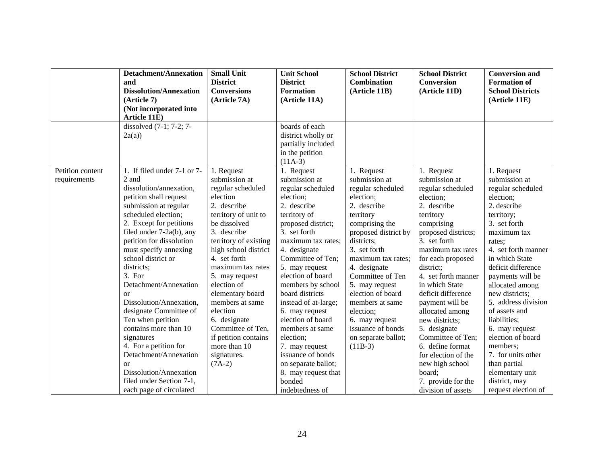|                  | <b>Detachment/Annexation</b>  | <b>Small Unit</b>     | <b>Unit School</b>   | <b>School District</b> | <b>School District</b> | <b>Conversion and</b>   |
|------------------|-------------------------------|-----------------------|----------------------|------------------------|------------------------|-------------------------|
|                  | and                           | <b>District</b>       | <b>District</b>      | <b>Combination</b>     | <b>Conversion</b>      | <b>Formation of</b>     |
|                  | <b>Dissolution/Annexation</b> | <b>Conversions</b>    | <b>Formation</b>     | (Article 11B)          | (Article 11D)          | <b>School Districts</b> |
|                  | (Article 7)                   | (Article 7A)          | (Article 11A)        |                        |                        | (Article 11E)           |
|                  | (Not incorporated into        |                       |                      |                        |                        |                         |
|                  | Article 11E)                  |                       |                      |                        |                        |                         |
|                  | dissolved $(7-1; 7-2; 7-$     |                       | boards of each       |                        |                        |                         |
|                  | 2a(a)                         |                       | district wholly or   |                        |                        |                         |
|                  |                               |                       | partially included   |                        |                        |                         |
|                  |                               |                       | in the petition      |                        |                        |                         |
|                  |                               |                       | $(11A-3)$            |                        |                        |                         |
| Petition content | 1. If filed under 7-1 or 7-   | 1. Request            | 1. Request           | 1. Request             | 1. Request             | 1. Request              |
| requirements     | 2 and                         | submission at         | submission at        | submission at          | submission at          | submission at           |
|                  | dissolution/annexation,       | regular scheduled     | regular scheduled    | regular scheduled      | regular scheduled      | regular scheduled       |
|                  | petition shall request        | election              | election:            | election:              | election:              | election;               |
|                  | submission at regular         | 2. describe           | 2. describe          | 2. describe            | 2. describe            | 2. describe             |
|                  | scheduled election;           | territory of unit to  | territory of         | territory              | territory              | territory;              |
|                  | 2. Except for petitions       | be dissolved          | proposed district;   | comprising the         | comprising             | 3. set forth            |
|                  | filed under 7-2a(b), any      | 3. describe           | 3. set forth         | proposed district by   | proposed districts;    | maximum tax             |
|                  | petition for dissolution      | territory of existing | maximum tax rates;   | districts;             | 3. set forth           | rates;                  |
|                  | must specify annexing         | high school district  | 4. designate         | 3. set forth           | maximum tax rates      | 4. set forth manner     |
|                  | school district or            | 4. set forth          | Committee of Ten;    | maximum tax rates;     | for each proposed      | in which State          |
|                  | districts;                    | maximum tax rates     | 5. may request       | 4. designate           | district;              | deficit difference      |
|                  | 3. For                        | 5. may request        | election of board    | Committee of Ten       | 4. set forth manner    | payments will be        |
|                  | Detachment/Annexation         | election of           | members by school    | 5. may request         | in which State         | allocated among         |
|                  | <sub>or</sub>                 | elementary board      | board districts      | election of board      | deficit difference     | new districts;          |
|                  | Dissolution/Annexation,       | members at same       | instead of at-large; | members at same        | payment will be        | 5. address division     |
|                  | designate Committee of        | election              | 6. may request       | election;              | allocated among        | of assets and           |
|                  | Ten when petition             | 6. designate          | election of board    | 6. may request         | new districts;         | liabilities;            |
|                  | contains more than 10         | Committee of Ten,     | members at same      | issuance of bonds      | 5. designate           | 6. may request          |
|                  | signatures                    | if petition contains  | election;            | on separate ballot;    | Committee of Ten;      | election of board       |
|                  | 4. For a petition for         | more than 10          | 7. may request       | $(11B-3)$              | 6. define format       | members;                |
|                  | Detachment/Annexation         | signatures.           | issuance of bonds    |                        | for election of the    | 7. for units other      |
|                  | <sub>or</sub>                 | $(7A-2)$              | on separate ballot;  |                        | new high school        | than partial            |
|                  | Dissolution/Annexation        |                       | 8. may request that  |                        | board;                 | elementary unit         |
|                  | filed under Section 7-1,      |                       | bonded               |                        | 7. provide for the     | district, may           |
|                  | each page of circulated       |                       | indebtedness of      |                        | division of assets     | request election of     |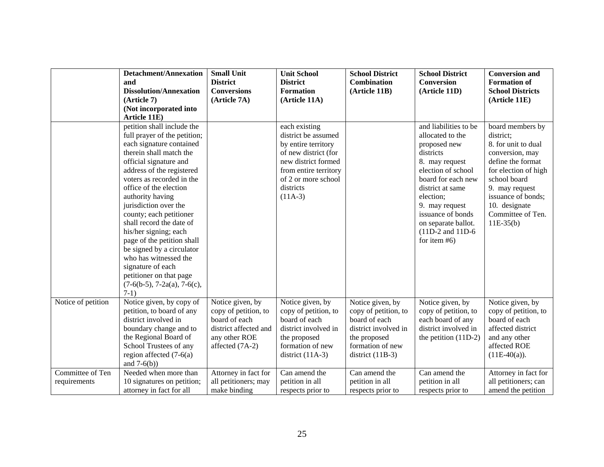|                    | <b>Detachment/Annexation</b>                               | <b>Small Unit</b>     | <b>Unit School</b>                   | <b>School District</b> | <b>School District</b>                    | <b>Conversion and</b>         |
|--------------------|------------------------------------------------------------|-----------------------|--------------------------------------|------------------------|-------------------------------------------|-------------------------------|
|                    | and                                                        | <b>District</b>       | <b>District</b>                      | Combination            | <b>Conversion</b>                         | <b>Formation of</b>           |
|                    | <b>Dissolution/Annexation</b>                              | <b>Conversions</b>    | <b>Formation</b>                     | (Article 11B)          | (Article 11D)                             | <b>School Districts</b>       |
|                    | (Article 7)                                                | (Article 7A)          | (Article 11A)                        |                        |                                           | (Article 11E)                 |
|                    | (Not incorporated into                                     |                       |                                      |                        |                                           |                               |
|                    | Article 11E)                                               |                       |                                      |                        |                                           |                               |
|                    | petition shall include the<br>full prayer of the petition; |                       | each existing<br>district be assumed |                        | and liabilities to be<br>allocated to the | board members by<br>district; |
|                    | each signature contained                                   |                       | by entire territory                  |                        | proposed new                              | 8. for unit to dual           |
|                    | therein shall match the                                    |                       | of new district (for                 |                        | districts                                 | conversion, may               |
|                    | official signature and                                     |                       | new district formed                  |                        | 8. may request                            | define the format             |
|                    | address of the registered                                  |                       | from entire territory                |                        | election of school                        | for election of high          |
|                    | voters as recorded in the                                  |                       | of 2 or more school                  |                        | board for each new                        | school board                  |
|                    | office of the election                                     |                       | districts                            |                        | district at same                          | 9. may request                |
|                    | authority having                                           |                       | $(11A-3)$                            |                        | election;                                 | issuance of bonds;            |
|                    | jurisdiction over the                                      |                       |                                      |                        | 9. may request                            | 10. designate                 |
|                    | county; each petitioner                                    |                       |                                      |                        | issuance of bonds                         | Committee of Ten.             |
|                    | shall record the date of                                   |                       |                                      |                        | on separate ballot.                       | $11E-35(b)$                   |
|                    | his/her signing; each                                      |                       |                                      |                        | $(11D-2$ and $11D-6$                      |                               |
|                    | page of the petition shall                                 |                       |                                      |                        | for item $#6$ )                           |                               |
|                    | be signed by a circulator                                  |                       |                                      |                        |                                           |                               |
|                    | who has witnessed the                                      |                       |                                      |                        |                                           |                               |
|                    | signature of each                                          |                       |                                      |                        |                                           |                               |
|                    | petitioner on that page                                    |                       |                                      |                        |                                           |                               |
|                    | $(7-6(b-5), 7-2a(a), 7-6(c))$                              |                       |                                      |                        |                                           |                               |
|                    | $7-1)$                                                     |                       |                                      |                        |                                           |                               |
| Notice of petition | Notice given, by copy of                                   | Notice given, by      | Notice given, by                     | Notice given, by       | Notice given, by                          | Notice given, by              |
|                    | petition, to board of any                                  | copy of petition, to  | copy of petition, to                 | copy of petition, to   | copy of petition, to                      | copy of petition, to          |
|                    | district involved in                                       | board of each         | board of each                        | board of each          | each board of any                         | board of each                 |
|                    | boundary change and to                                     | district affected and | district involved in                 | district involved in   | district involved in                      | affected district             |
|                    | the Regional Board of                                      | any other ROE         | the proposed                         | the proposed           | the petition $(11D-2)$                    | and any other                 |
|                    | School Trustees of any                                     | affected (7A-2)       | formation of new                     | formation of new       |                                           | affected ROE                  |
|                    | region affected $(7-6(a))$<br>and $7-6(b)$ )               |                       | district $(11A-3)$                   | district $(11B-3)$     |                                           | $(11E-40(a)).$                |
| Committee of Ten   | Needed when more than                                      | Attorney in fact for  | Can amend the                        | Can amend the          | Can amend the                             | Attorney in fact for          |
| requirements       | 10 signatures on petition;                                 | all petitioners; may  | petition in all                      | petition in all        | petition in all                           | all petitioners; can          |
|                    | attorney in fact for all                                   | make binding          | respects prior to                    | respects prior to      | respects prior to                         | amend the petition            |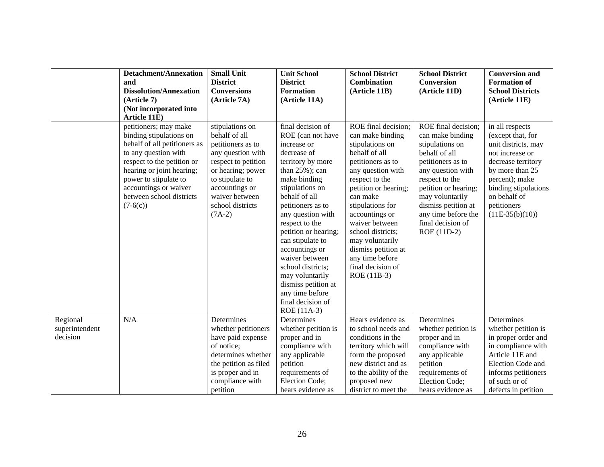|                                        | <b>Detachment/Annexation</b>                                                                                                                                                                                                                                    | <b>Small Unit</b>                                                                                                                                                                                             | <b>Unit School</b>                                                                                                                                                                                                                                                                                                                                                                                                                   | <b>School District</b>                                                                                                                                                                                                                                                                                                                                    | <b>School District</b>                                                                                                                                                                                                                                               | <b>Conversion and</b>                                                                                                                                                                                                 |
|----------------------------------------|-----------------------------------------------------------------------------------------------------------------------------------------------------------------------------------------------------------------------------------------------------------------|---------------------------------------------------------------------------------------------------------------------------------------------------------------------------------------------------------------|--------------------------------------------------------------------------------------------------------------------------------------------------------------------------------------------------------------------------------------------------------------------------------------------------------------------------------------------------------------------------------------------------------------------------------------|-----------------------------------------------------------------------------------------------------------------------------------------------------------------------------------------------------------------------------------------------------------------------------------------------------------------------------------------------------------|----------------------------------------------------------------------------------------------------------------------------------------------------------------------------------------------------------------------------------------------------------------------|-----------------------------------------------------------------------------------------------------------------------------------------------------------------------------------------------------------------------|
|                                        | and                                                                                                                                                                                                                                                             | <b>District</b>                                                                                                                                                                                               | <b>District</b>                                                                                                                                                                                                                                                                                                                                                                                                                      | <b>Combination</b>                                                                                                                                                                                                                                                                                                                                        | <b>Conversion</b>                                                                                                                                                                                                                                                    | <b>Formation of</b>                                                                                                                                                                                                   |
|                                        | <b>Dissolution/Annexation</b>                                                                                                                                                                                                                                   | <b>Conversions</b>                                                                                                                                                                                            | <b>Formation</b>                                                                                                                                                                                                                                                                                                                                                                                                                     | (Article 11B)                                                                                                                                                                                                                                                                                                                                             | (Article 11D)                                                                                                                                                                                                                                                        | <b>School Districts</b>                                                                                                                                                                                               |
|                                        | (Article 7)                                                                                                                                                                                                                                                     | (Article 7A)                                                                                                                                                                                                  | (Article 11A)                                                                                                                                                                                                                                                                                                                                                                                                                        |                                                                                                                                                                                                                                                                                                                                                           |                                                                                                                                                                                                                                                                      | (Article 11E)                                                                                                                                                                                                         |
|                                        | (Not incorporated into                                                                                                                                                                                                                                          |                                                                                                                                                                                                               |                                                                                                                                                                                                                                                                                                                                                                                                                                      |                                                                                                                                                                                                                                                                                                                                                           |                                                                                                                                                                                                                                                                      |                                                                                                                                                                                                                       |
|                                        | Article 11E)                                                                                                                                                                                                                                                    |                                                                                                                                                                                                               |                                                                                                                                                                                                                                                                                                                                                                                                                                      |                                                                                                                                                                                                                                                                                                                                                           |                                                                                                                                                                                                                                                                      |                                                                                                                                                                                                                       |
|                                        | petitioners; may make<br>binding stipulations on<br>behalf of all petitioners as<br>to any question with<br>respect to the petition or<br>hearing or joint hearing;<br>power to stipulate to<br>accountings or waiver<br>between school districts<br>$(7-6(c))$ | stipulations on<br>behalf of all<br>petitioners as to<br>any question with<br>respect to petition<br>or hearing; power<br>to stipulate to<br>accountings or<br>waiver between<br>school districts<br>$(7A-2)$ | final decision of<br>ROE (can not have<br>increase or<br>decrease of<br>territory by more<br>than $25\%$ ; can<br>make binding<br>stipulations on<br>behalf of all<br>petitioners as to<br>any question with<br>respect to the<br>petition or hearing;<br>can stipulate to<br>accountings or<br>waiver between<br>school districts;<br>may voluntarily<br>dismiss petition at<br>any time before<br>final decision of<br>ROE (11A-3) | ROE final decision;<br>can make binding<br>stipulations on<br>behalf of all<br>petitioners as to<br>any question with<br>respect to the<br>petition or hearing;<br>can make<br>stipulations for<br>accountings or<br>waiver between<br>school districts;<br>may voluntarily<br>dismiss petition at<br>any time before<br>final decision of<br>ROE (11B-3) | ROE final decision;<br>can make binding<br>stipulations on<br>behalf of all<br>petitioners as to<br>any question with<br>respect to the<br>petition or hearing;<br>may voluntarily<br>dismiss petition at<br>any time before the<br>final decision of<br>ROE (11D-2) | in all respects<br>(except that, for<br>unit districts, may<br>not increase or<br>decrease territory<br>by more than 25<br>percent); make<br>binding stipulations<br>on behalf of<br>petitioners<br>$(11E-35(b)(10))$ |
| Regional<br>superintendent<br>decision | N/A                                                                                                                                                                                                                                                             | Determines<br>whether petitioners<br>have paid expense<br>of notice;<br>determines whether<br>the petition as filed<br>is proper and in<br>compliance with<br>petition                                        | <b>Determines</b><br>whether petition is<br>proper and in<br>compliance with<br>any applicable<br>petition<br>requirements of<br>Election Code;<br>hears evidence as                                                                                                                                                                                                                                                                 | Hears evidence as<br>to school needs and<br>conditions in the<br>territory which will<br>form the proposed<br>new district and as<br>to the ability of the<br>proposed new<br>district to meet the                                                                                                                                                        | Determines<br>whether petition is<br>proper and in<br>compliance with<br>any applicable<br>petition<br>requirements of<br>Election Code;<br>hears evidence as                                                                                                        | Determines<br>whether petition is<br>in proper order and<br>in compliance with<br>Article 11E and<br>Election Code and<br>informs petitioners<br>of such or of<br>defects in petition                                 |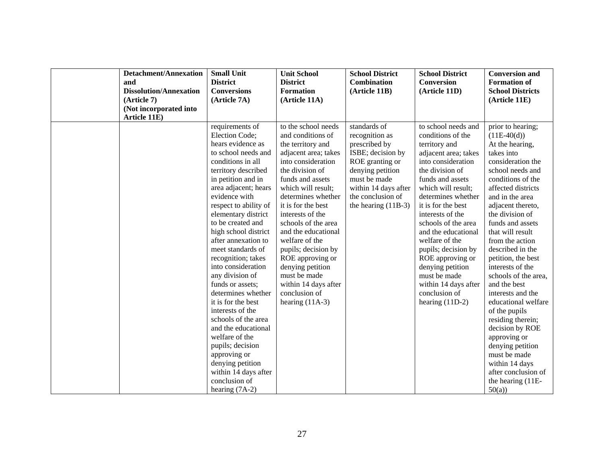| <b>Detachment/Annexation</b><br>and<br><b>Dissolution/Annexation</b><br>$(Ar$ ticle 7)<br>(Not incorporated into<br>Article 11E) | <b>Small Unit</b><br><b>District</b><br><b>Conversions</b><br>(Article 7A)                                                                                                                                                                                                                                                                                                                                                                                                                                                                                                                                                                                                | <b>Unit School</b><br><b>District</b><br><b>Formation</b><br>(Article 11A)                                                                                                                                                                                                                                                                                                                                                                            | <b>School District</b><br><b>Combination</b><br>(Article 11B)                                                                                                                                     | <b>School District</b><br><b>Conversion</b><br>(Article 11D)                                                                                                                                                                                                                                                                                                                                                                                      | <b>Conversion and</b><br><b>Formation of</b><br><b>School Districts</b><br>(Article 11E)                                                                                                                                                                                                                                                                                                                                                                                                                                                                                                                            |
|----------------------------------------------------------------------------------------------------------------------------------|---------------------------------------------------------------------------------------------------------------------------------------------------------------------------------------------------------------------------------------------------------------------------------------------------------------------------------------------------------------------------------------------------------------------------------------------------------------------------------------------------------------------------------------------------------------------------------------------------------------------------------------------------------------------------|-------------------------------------------------------------------------------------------------------------------------------------------------------------------------------------------------------------------------------------------------------------------------------------------------------------------------------------------------------------------------------------------------------------------------------------------------------|---------------------------------------------------------------------------------------------------------------------------------------------------------------------------------------------------|---------------------------------------------------------------------------------------------------------------------------------------------------------------------------------------------------------------------------------------------------------------------------------------------------------------------------------------------------------------------------------------------------------------------------------------------------|---------------------------------------------------------------------------------------------------------------------------------------------------------------------------------------------------------------------------------------------------------------------------------------------------------------------------------------------------------------------------------------------------------------------------------------------------------------------------------------------------------------------------------------------------------------------------------------------------------------------|
|                                                                                                                                  | requirements of<br>Election Code;<br>hears evidence as<br>to school needs and<br>conditions in all<br>territory described<br>in petition and in<br>area adjacent; hears<br>evidence with<br>respect to ability of<br>elementary district<br>to be created and<br>high school district<br>after annexation to<br>meet standards of<br>recognition; takes<br>into consideration<br>any division of<br>funds or assets;<br>determines whether<br>it is for the best<br>interests of the<br>schools of the area<br>and the educational<br>welfare of the<br>pupils; decision<br>approving or<br>denying petition<br>within 14 days after<br>conclusion of<br>hearing $(7A-2)$ | to the school needs<br>and conditions of<br>the territory and<br>adjacent area; takes<br>into consideration<br>the division of<br>funds and assets<br>which will result;<br>determines whether<br>it is for the best<br>interests of the<br>schools of the area<br>and the educational<br>welfare of the<br>pupils; decision by<br>ROE approving or<br>denying petition<br>must be made<br>within 14 days after<br>conclusion of<br>hearing $(11A-3)$ | standards of<br>recognition as<br>prescribed by<br>ISBE; decision by<br>ROE granting or<br>denying petition<br>must be made<br>within 14 days after<br>the conclusion of<br>the hearing $(11B-3)$ | to school needs and<br>conditions of the<br>territory and<br>adjacent area; takes<br>into consideration<br>the division of<br>funds and assets<br>which will result;<br>determines whether<br>it is for the best<br>interests of the<br>schools of the area<br>and the educational<br>welfare of the<br>pupils; decision by<br>ROE approving or<br>denying petition<br>must be made<br>within 14 days after<br>conclusion of<br>hearing $(11D-2)$ | prior to hearing;<br>$(11E-40(d))$<br>At the hearing,<br>takes into<br>consideration the<br>school needs and<br>conditions of the<br>affected districts<br>and in the area<br>adjacent thereto,<br>the division of<br>funds and assets<br>that will result<br>from the action<br>described in the<br>petition, the best<br>interests of the<br>schools of the area,<br>and the best<br>interests and the<br>educational welfare<br>of the pupils<br>residing therein;<br>decision by ROE<br>approving or<br>denying petition<br>must be made<br>within 14 days<br>after conclusion of<br>the hearing (11E-<br>50(a) |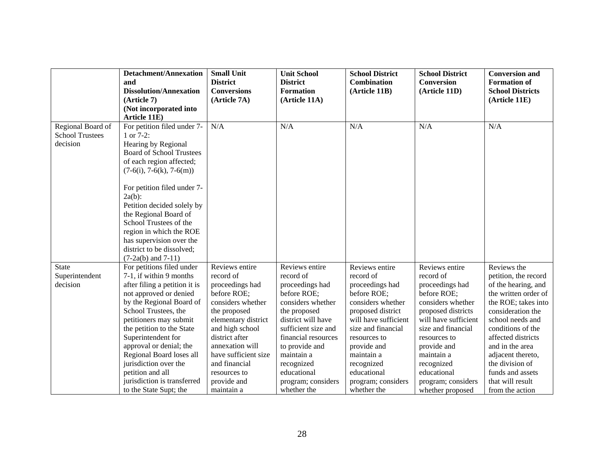|                        | <b>Detachment/Annexation</b>    | <b>Small Unit</b>    | <b>Unit School</b>  | <b>School District</b> | <b>School District</b> | <b>Conversion and</b>   |
|------------------------|---------------------------------|----------------------|---------------------|------------------------|------------------------|-------------------------|
|                        | and                             | <b>District</b>      | <b>District</b>     | <b>Combination</b>     | Conversion             | <b>Formation of</b>     |
|                        | <b>Dissolution/Annexation</b>   | <b>Conversions</b>   | <b>Formation</b>    | (Article 11B)          | (Article 11D)          | <b>School Districts</b> |
|                        | (Article 7)                     | (Article 7A)         | (Article 11A)       |                        |                        | (Article 11E)           |
|                        | (Not incorporated into          |                      |                     |                        |                        |                         |
|                        | Article 11E)                    |                      |                     |                        |                        |                         |
| Regional Board of      | For petition filed under 7-     | N/A                  | N/A                 | N/A                    | N/A                    | N/A                     |
| <b>School Trustees</b> | 1 or 7-2:                       |                      |                     |                        |                        |                         |
| decision               | Hearing by Regional             |                      |                     |                        |                        |                         |
|                        | <b>Board of School Trustees</b> |                      |                     |                        |                        |                         |
|                        | of each region affected;        |                      |                     |                        |                        |                         |
|                        | $(7-6(i), 7-6(k), 7-6(m))$      |                      |                     |                        |                        |                         |
|                        |                                 |                      |                     |                        |                        |                         |
|                        | For petition filed under 7-     |                      |                     |                        |                        |                         |
|                        | $2a(b)$ :                       |                      |                     |                        |                        |                         |
|                        | Petition decided solely by      |                      |                     |                        |                        |                         |
|                        | the Regional Board of           |                      |                     |                        |                        |                         |
|                        | School Trustees of the          |                      |                     |                        |                        |                         |
|                        | region in which the ROE         |                      |                     |                        |                        |                         |
|                        | has supervision over the        |                      |                     |                        |                        |                         |
|                        | district to be dissolved;       |                      |                     |                        |                        |                         |
|                        | $(7-2a(b)$ and $7-11)$          |                      |                     |                        |                        |                         |
| <b>State</b>           | For petitions filed under       | Reviews entire       | Reviews entire      | Reviews entire         | Reviews entire         | Reviews the             |
| Superintendent         | 7-1, if within 9 months         | record of            | record of           | record of              | record of              | petition, the record    |
| decision               | after filing a petition it is   | proceedings had      | proceedings had     | proceedings had        | proceedings had        | of the hearing, and     |
|                        | not approved or denied          | before ROE;          | before ROE;         | before ROE;            | before ROE;            | the written order of    |
|                        | by the Regional Board of        | considers whether    | considers whether   | considers whether      | considers whether      | the ROE; takes into     |
|                        | School Trustees, the            | the proposed         | the proposed        | proposed district      | proposed districts     | consideration the       |
|                        | petitioners may submit          | elementary district  | district will have  | will have sufficient   | will have sufficient   | school needs and        |
|                        | the petition to the State       | and high school      | sufficient size and | size and financial     | size and financial     | conditions of the       |
|                        | Superintendent for              | district after       | financial resources | resources to           | resources to           | affected districts      |
|                        | approval or denial; the         | annexation will      | to provide and      | provide and            | provide and            | and in the area         |
|                        | Regional Board loses all        | have sufficient size | maintain a          | maintain a             | maintain a             | adjacent thereto,       |
|                        | jurisdiction over the           | and financial        | recognized          | recognized             | recognized             | the division of         |
|                        | petition and all                | resources to         | educational         | educational            | educational            | funds and assets        |
|                        | jurisdiction is transferred     | provide and          | program; considers  | program; considers     | program; considers     | that will result        |
|                        | to the State Supt; the          | maintain a           | whether the         | whether the            | whether proposed       | from the action         |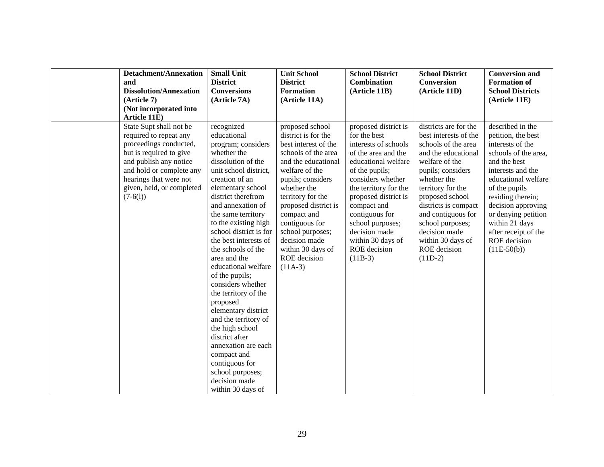| <b>Detachment/Annexation</b><br>and<br><b>Dissolution/Annexation</b><br>(A <sub>rt</sub> icle 7)<br>(Not incorporated into<br>Article 11E)<br>State Supt shall not be                                  | <b>Small Unit</b><br><b>District</b><br><b>Conversions</b><br>(Article 7A)<br>recognized                                                                                                                                                                                                                                                                                                                                                                                                                                                                                                                                         | <b>Unit School</b><br><b>District</b><br><b>Formation</b><br>(Article 11A)<br>proposed school                                                                                                                                                                                                                        | <b>School District</b><br><b>Combination</b><br>(Article 11B)<br>proposed district is                                                                                                                                                                                                              | <b>School District</b><br><b>Conversion</b><br>(Article 11D)<br>districts are for the                                                                                                                                                                                                                  | <b>Conversion and</b><br><b>Formation of</b><br><b>School Districts</b><br>(Article 11E)<br>described in the                                                                                                                                                                             |
|--------------------------------------------------------------------------------------------------------------------------------------------------------------------------------------------------------|----------------------------------------------------------------------------------------------------------------------------------------------------------------------------------------------------------------------------------------------------------------------------------------------------------------------------------------------------------------------------------------------------------------------------------------------------------------------------------------------------------------------------------------------------------------------------------------------------------------------------------|----------------------------------------------------------------------------------------------------------------------------------------------------------------------------------------------------------------------------------------------------------------------------------------------------------------------|----------------------------------------------------------------------------------------------------------------------------------------------------------------------------------------------------------------------------------------------------------------------------------------------------|--------------------------------------------------------------------------------------------------------------------------------------------------------------------------------------------------------------------------------------------------------------------------------------------------------|------------------------------------------------------------------------------------------------------------------------------------------------------------------------------------------------------------------------------------------------------------------------------------------|
| required to repeat any<br>proceedings conducted,<br>but is required to give<br>and publish any notice<br>and hold or complete any<br>hearings that were not<br>given, held, or completed<br>$(7-6(1))$ | educational<br>program; considers<br>whether the<br>dissolution of the<br>unit school district,<br>creation of an<br>elementary school<br>district therefrom<br>and annexation of<br>the same territory<br>to the existing high<br>school district is for<br>the best interests of<br>the schools of the<br>area and the<br>educational welfare<br>of the pupils;<br>considers whether<br>the territory of the<br>proposed<br>elementary district<br>and the territory of<br>the high school<br>district after<br>annexation are each<br>compact and<br>contiguous for<br>school purposes;<br>decision made<br>within 30 days of | district is for the<br>best interest of the<br>schools of the area<br>and the educational<br>welfare of the<br>pupils; considers<br>whether the<br>territory for the<br>proposed district is<br>compact and<br>contiguous for<br>school purposes;<br>decision made<br>within 30 days of<br>ROE decision<br>$(11A-3)$ | for the best<br>interests of schools<br>of the area and the<br>educational welfare<br>of the pupils;<br>considers whether<br>the territory for the<br>proposed district is<br>compact and<br>contiguous for<br>school purposes;<br>decision made<br>within 30 days of<br>ROE decision<br>$(11B-3)$ | best interests of the<br>schools of the area<br>and the educational<br>welfare of the<br>pupils; considers<br>whether the<br>territory for the<br>proposed school<br>districts is compact<br>and contiguous for<br>school purposes;<br>decision made<br>within 30 days of<br>ROE decision<br>$(11D-2)$ | petition, the best<br>interests of the<br>schools of the area,<br>and the best<br>interests and the<br>educational welfare<br>of the pupils<br>residing therein;<br>decision approving<br>or denying petition<br>within 21 days<br>after receipt of the<br>ROE decision<br>$(11E-50(b))$ |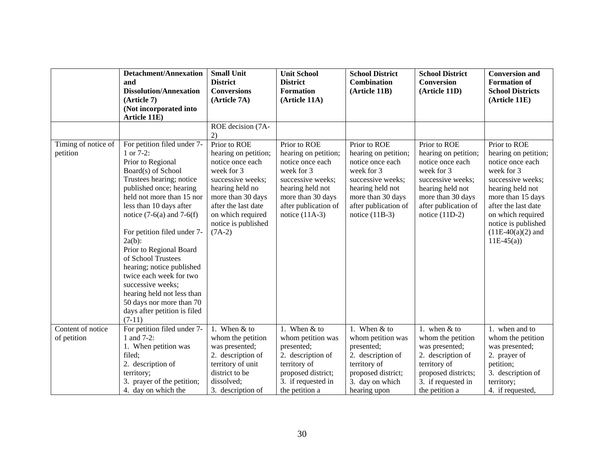|                                  | <b>Detachment/Annexation</b><br>and<br><b>Dissolution/Annexation</b><br>(A <sub>rt</sub> icle 7)<br>(Not incorporated into                                                                                                                                                                                                                                                                                                                                                                                             | <b>Small Unit</b><br><b>District</b><br><b>Conversions</b><br>(Article 7A)                                                                                                                                         | <b>Unit School</b><br><b>District</b><br><b>Formation</b><br>(Article 11A)                                                                                                       | <b>School District</b><br><b>Combination</b><br>(Article 11B)                                                                                                                    | <b>School District</b><br>Conversion<br>(Article 11D)                                                                                                                            | <b>Conversion and</b><br><b>Formation of</b><br><b>School Districts</b><br>(Article 11E)                                                                                                                                                      |
|----------------------------------|------------------------------------------------------------------------------------------------------------------------------------------------------------------------------------------------------------------------------------------------------------------------------------------------------------------------------------------------------------------------------------------------------------------------------------------------------------------------------------------------------------------------|--------------------------------------------------------------------------------------------------------------------------------------------------------------------------------------------------------------------|----------------------------------------------------------------------------------------------------------------------------------------------------------------------------------|----------------------------------------------------------------------------------------------------------------------------------------------------------------------------------|----------------------------------------------------------------------------------------------------------------------------------------------------------------------------------|-----------------------------------------------------------------------------------------------------------------------------------------------------------------------------------------------------------------------------------------------|
|                                  | Article 11E)                                                                                                                                                                                                                                                                                                                                                                                                                                                                                                           |                                                                                                                                                                                                                    |                                                                                                                                                                                  |                                                                                                                                                                                  |                                                                                                                                                                                  |                                                                                                                                                                                                                                               |
|                                  |                                                                                                                                                                                                                                                                                                                                                                                                                                                                                                                        | ROE decision (7A-<br>2)                                                                                                                                                                                            |                                                                                                                                                                                  |                                                                                                                                                                                  |                                                                                                                                                                                  |                                                                                                                                                                                                                                               |
| Timing of notice of<br>petition  | For petition filed under 7-<br>1 or $7-2$ :<br>Prior to Regional<br>Board(s) of School<br>Trustees hearing; notice<br>published once; hearing<br>held not more than 15 nor<br>less than 10 days after<br>notice $(7-6(a)$ and $7-6(f)$<br>For petition filed under 7-<br>$2a(b)$ :<br>Prior to Regional Board<br>of School Trustees<br>hearing; notice published<br>twice each week for two<br>successive weeks;<br>hearing held not less than<br>50 days nor more than 70<br>days after petition is filed<br>$(7-11)$ | Prior to ROE<br>hearing on petition;<br>notice once each<br>week for 3<br>successive weeks;<br>hearing held no<br>more than 30 days<br>after the last date<br>on which required<br>notice is published<br>$(7A-2)$ | Prior to ROE<br>hearing on petition;<br>notice once each<br>week for 3<br>successive weeks;<br>hearing held not<br>more than 30 days<br>after publication of<br>notice $(11A-3)$ | Prior to ROE<br>hearing on petition;<br>notice once each<br>week for 3<br>successive weeks;<br>hearing held not<br>more than 30 days<br>after publication of<br>notice $(11B-3)$ | Prior to ROE<br>hearing on petition;<br>notice once each<br>week for 3<br>successive weeks;<br>hearing held not<br>more than 30 days<br>after publication of<br>notice $(11D-2)$ | Prior to ROE<br>hearing on petition;<br>notice once each<br>week for 3<br>successive weeks;<br>hearing held not<br>more than 15 days<br>after the last date<br>on which required<br>notice is published<br>$(11E-40(a)(2)$ and<br>$11E-45(a)$ |
| Content of notice<br>of petition | For petition filed under 7-<br>1 and 7-2:                                                                                                                                                                                                                                                                                                                                                                                                                                                                              | 1. When & to<br>whom the petition                                                                                                                                                                                  | 1. When & to<br>whom petition was                                                                                                                                                | 1. When & to<br>whom petition was                                                                                                                                                | 1. when $&$ to<br>whom the petition                                                                                                                                              | 1. when and to<br>whom the petition                                                                                                                                                                                                           |
|                                  | 1. When petition was<br>filed;<br>2. description of                                                                                                                                                                                                                                                                                                                                                                                                                                                                    | was presented;<br>2. description of<br>territory of unit                                                                                                                                                           | presented;<br>2. description of<br>territory of                                                                                                                                  | presented;<br>2. description of<br>territory of                                                                                                                                  | was presented;<br>2. description of<br>territory of                                                                                                                              | was presented;<br>2. prayer of<br>petition;                                                                                                                                                                                                   |
|                                  | territory;<br>3. prayer of the petition;<br>4. day on which the                                                                                                                                                                                                                                                                                                                                                                                                                                                        | district to be<br>dissolved;<br>3. description of                                                                                                                                                                  | proposed district;<br>3. if requested in<br>the petition a                                                                                                                       | proposed district;<br>3. day on which<br>hearing upon                                                                                                                            | proposed districts;<br>3. if requested in<br>the petition a                                                                                                                      | 3. description of<br>territory;<br>4. if requested,                                                                                                                                                                                           |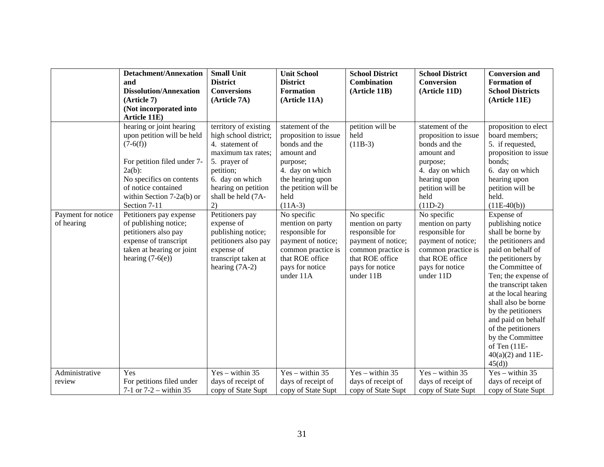|                                  | <b>Detachment/Annexation</b>                                                                                                                                                                                                                                                                                                                                               | <b>Small Unit</b>                                                                                                                                                                                                                                                                                                                  | <b>Unit School</b>                                                                                                                                                                                                                                                                                                           | <b>School District</b>                                                                                                                                                                     | <b>School District</b>                                                                                                                                                                                                                                                                                               | <b>Conversion and</b>                                                                                                                                                                                                                                                                                                                                                                                                                                                 |
|----------------------------------|----------------------------------------------------------------------------------------------------------------------------------------------------------------------------------------------------------------------------------------------------------------------------------------------------------------------------------------------------------------------------|------------------------------------------------------------------------------------------------------------------------------------------------------------------------------------------------------------------------------------------------------------------------------------------------------------------------------------|------------------------------------------------------------------------------------------------------------------------------------------------------------------------------------------------------------------------------------------------------------------------------------------------------------------------------|--------------------------------------------------------------------------------------------------------------------------------------------------------------------------------------------|----------------------------------------------------------------------------------------------------------------------------------------------------------------------------------------------------------------------------------------------------------------------------------------------------------------------|-----------------------------------------------------------------------------------------------------------------------------------------------------------------------------------------------------------------------------------------------------------------------------------------------------------------------------------------------------------------------------------------------------------------------------------------------------------------------|
|                                  | and                                                                                                                                                                                                                                                                                                                                                                        | <b>District</b>                                                                                                                                                                                                                                                                                                                    | <b>District</b>                                                                                                                                                                                                                                                                                                              | Combination                                                                                                                                                                                | Conversion                                                                                                                                                                                                                                                                                                           | <b>Formation of</b>                                                                                                                                                                                                                                                                                                                                                                                                                                                   |
|                                  | <b>Dissolution/Annexation</b>                                                                                                                                                                                                                                                                                                                                              | <b>Conversions</b>                                                                                                                                                                                                                                                                                                                 | <b>Formation</b>                                                                                                                                                                                                                                                                                                             | (Article 11B)                                                                                                                                                                              | (Article 11D)                                                                                                                                                                                                                                                                                                        | <b>School Districts</b>                                                                                                                                                                                                                                                                                                                                                                                                                                               |
|                                  | (Article 7)                                                                                                                                                                                                                                                                                                                                                                | (Article 7A)                                                                                                                                                                                                                                                                                                                       | (Article 11A)                                                                                                                                                                                                                                                                                                                |                                                                                                                                                                                            |                                                                                                                                                                                                                                                                                                                      | (Article 11E)                                                                                                                                                                                                                                                                                                                                                                                                                                                         |
|                                  | (Not incorporated into                                                                                                                                                                                                                                                                                                                                                     |                                                                                                                                                                                                                                                                                                                                    |                                                                                                                                                                                                                                                                                                                              |                                                                                                                                                                                            |                                                                                                                                                                                                                                                                                                                      |                                                                                                                                                                                                                                                                                                                                                                                                                                                                       |
|                                  | Article 11E)                                                                                                                                                                                                                                                                                                                                                               |                                                                                                                                                                                                                                                                                                                                    |                                                                                                                                                                                                                                                                                                                              |                                                                                                                                                                                            |                                                                                                                                                                                                                                                                                                                      |                                                                                                                                                                                                                                                                                                                                                                                                                                                                       |
| Payment for notice<br>of hearing | hearing or joint hearing<br>upon petition will be held<br>$(7-6(f))$<br>For petition filed under 7-<br>$2a(b)$ :<br>No specifics on contents<br>of notice contained<br>within Section $7-2a(b)$ or<br>Section 7-11<br>Petitioners pay expense<br>of publishing notice;<br>petitioners also pay<br>expense of transcript<br>taken at hearing or joint<br>hearing $(7-6(e))$ | territory of existing<br>high school district;<br>4. statement of<br>maximum tax rates;<br>5. prayer of<br>petition;<br>6. day on which<br>hearing on petition<br>shall be held (7A-<br>2)<br>Petitioners pay<br>expense of<br>publishing notice;<br>petitioners also pay<br>expense of<br>transcript taken at<br>hearing $(7A-2)$ | statement of the<br>proposition to issue<br>bonds and the<br>amount and<br>purpose;<br>4. day on which<br>the hearing upon<br>the petition will be<br>held<br>$(11A-3)$<br>No specific<br>mention on party<br>responsible for<br>payment of notice;<br>common practice is<br>that ROE office<br>pays for notice<br>under 11A | petition will be<br>held<br>$(11B-3)$<br>No specific<br>mention on party<br>responsible for<br>payment of notice;<br>common practice is<br>that ROE office<br>pays for notice<br>under 11B | statement of the<br>proposition to issue<br>bonds and the<br>amount and<br>purpose;<br>4. day on which<br>hearing upon<br>petition will be<br>held<br>$(11D-2)$<br>No specific<br>mention on party<br>responsible for<br>payment of notice;<br>common practice is<br>that ROE office<br>pays for notice<br>under 11D | proposition to elect<br>board members;<br>5. if requested,<br>proposition to issue<br>bonds;<br>6. day on which<br>hearing upon<br>petition will be<br>held.<br>$(11E-40(b))$<br>Expense of<br>publishing notice<br>shall be borne by<br>the petitioners and<br>paid on behalf of<br>the petitioners by<br>the Committee of<br>Ten; the expense of<br>the transcript taken<br>at the local hearing<br>shall also be borne<br>by the petitioners<br>and paid on behalf |
|                                  |                                                                                                                                                                                                                                                                                                                                                                            |                                                                                                                                                                                                                                                                                                                                    |                                                                                                                                                                                                                                                                                                                              |                                                                                                                                                                                            |                                                                                                                                                                                                                                                                                                                      | of the petitioners<br>by the Committee<br>of Ten (11E-<br>$40(a)(2)$ and 11E-                                                                                                                                                                                                                                                                                                                                                                                         |
|                                  |                                                                                                                                                                                                                                                                                                                                                                            |                                                                                                                                                                                                                                                                                                                                    |                                                                                                                                                                                                                                                                                                                              |                                                                                                                                                                                            |                                                                                                                                                                                                                                                                                                                      | 45(d)                                                                                                                                                                                                                                                                                                                                                                                                                                                                 |
| Administrative                   | Yes                                                                                                                                                                                                                                                                                                                                                                        | $Yes - within 35$                                                                                                                                                                                                                                                                                                                  | $Yes - within 35$                                                                                                                                                                                                                                                                                                            | $Yes - within 35$                                                                                                                                                                          | $Yes - within 35$                                                                                                                                                                                                                                                                                                    | $Yes - within 35$                                                                                                                                                                                                                                                                                                                                                                                                                                                     |
| review                           | For petitions filed under                                                                                                                                                                                                                                                                                                                                                  | days of receipt of                                                                                                                                                                                                                                                                                                                 | days of receipt of                                                                                                                                                                                                                                                                                                           | days of receipt of                                                                                                                                                                         | days of receipt of                                                                                                                                                                                                                                                                                                   | days of receipt of                                                                                                                                                                                                                                                                                                                                                                                                                                                    |
|                                  | 7-1 or $7-2$ – within 35                                                                                                                                                                                                                                                                                                                                                   | copy of State Supt                                                                                                                                                                                                                                                                                                                 | copy of State Supt                                                                                                                                                                                                                                                                                                           | copy of State Supt                                                                                                                                                                         | copy of State Supt                                                                                                                                                                                                                                                                                                   | copy of State Supt                                                                                                                                                                                                                                                                                                                                                                                                                                                    |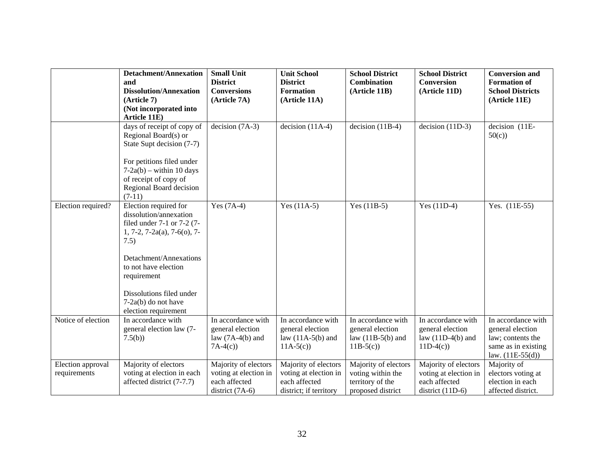|                                   | <b>Detachment/Annexation</b><br>and<br><b>Dissolution/Annexation</b><br>(Article 7)<br>(Not incorporated into<br>Article 11E)                                                                                                                                            | <b>Small Unit</b><br><b>District</b><br><b>Conversions</b><br>(Article 7A)          | <b>Unit School</b><br><b>District</b><br><b>Formation</b><br>(Article 11A)               | <b>School District</b><br><b>Combination</b><br>(Article 11B)                      | <b>School District</b><br><b>Conversion</b><br>(Article 11D)                         | <b>Conversion and</b><br><b>Formation of</b><br><b>School Districts</b><br>(Article 11E)                 |
|-----------------------------------|--------------------------------------------------------------------------------------------------------------------------------------------------------------------------------------------------------------------------------------------------------------------------|-------------------------------------------------------------------------------------|------------------------------------------------------------------------------------------|------------------------------------------------------------------------------------|--------------------------------------------------------------------------------------|----------------------------------------------------------------------------------------------------------|
|                                   | days of receipt of copy of<br>Regional Board(s) or<br>State Supt decision (7-7)<br>For petitions filed under<br>$7-2a(b)$ – within 10 days<br>of receipt of copy of<br>Regional Board decision<br>$(7-11)$                                                               | decision $(7A-3)$                                                                   | $decision (11A-4)$                                                                       | decision $(11B-4)$                                                                 | $decision (11D-3)$                                                                   | decision (11E-<br>50(c)                                                                                  |
| Election required?                | Election required for<br>dissolution/annexation<br>filed under $7-1$ or $7-2$ (7-<br>$1, 7-2, 7-2a(a), 7-6(a), 7-$<br>7.5)<br>Detachment/Annexations<br>to not have election<br>requirement<br>Dissolutions filed under<br>$7-2a(b)$ do not have<br>election requirement | Yes $(7A-4)$                                                                        | Yes $(11A-5)$                                                                            | Yes $(11B-5)$                                                                      | Yes $(11D-4)$                                                                        | Yes. (11E-55)                                                                                            |
| Notice of election                | In accordance with<br>general election law (7-<br>7.5(b)                                                                                                                                                                                                                 | In accordance with<br>general election<br>law $(7A-4(b)$ and<br>$7A-4(c)$           | In accordance with<br>general election<br>law $(11A-5(b)$ and<br>$11A-5(c)$              | In accordance with<br>general election<br>law $(11B-5(b)$ and<br>$11B-5(c)$        | In accordance with<br>general election<br>law $(11D-4(b)$ and<br>$11D-4(c)$          | In accordance with<br>general election<br>law; contents the<br>same as in existing<br>law. $(11E-55(d))$ |
| Election approval<br>requirements | Majority of electors<br>voting at election in each<br>affected district (7-7.7)                                                                                                                                                                                          | Majority of electors<br>voting at election in<br>each affected<br>district $(7A-6)$ | Majority of electors<br>voting at election in<br>each affected<br>district; if territory | Majority of electors<br>voting within the<br>territory of the<br>proposed district | Majority of electors<br>voting at election in<br>each affected<br>district $(11D-6)$ | Majority of<br>electors voting at<br>election in each<br>affected district.                              |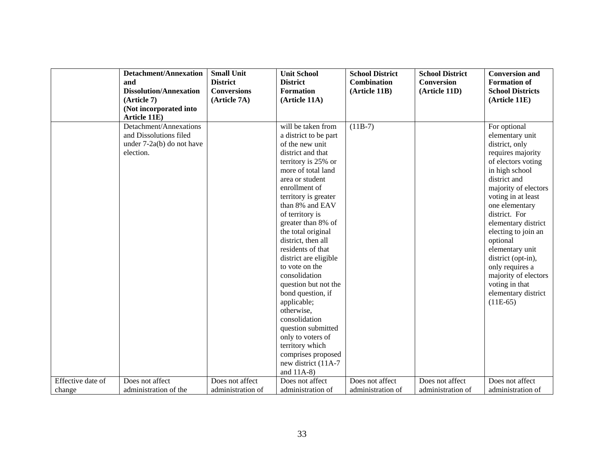|                   | <b>Detachment/Annexation</b>  | <b>Small Unit</b>  | <b>Unit School</b>    | <b>School District</b> | <b>School District</b> | <b>Conversion and</b>   |
|-------------------|-------------------------------|--------------------|-----------------------|------------------------|------------------------|-------------------------|
|                   | and                           | <b>District</b>    | <b>District</b>       | <b>Combination</b>     | <b>Conversion</b>      | <b>Formation of</b>     |
|                   | <b>Dissolution/Annexation</b> | <b>Conversions</b> | <b>Formation</b>      | (Article 11B)          | (Article 11D)          | <b>School Districts</b> |
|                   | (Article 7)                   | (Article 7A)       | (Article 11A)         |                        |                        | (Article 11E)           |
|                   | (Not incorporated into        |                    |                       |                        |                        |                         |
|                   | Article 11E)                  |                    |                       |                        |                        |                         |
|                   | Detachment/Annexations        |                    | will be taken from    | $(11B-7)$              |                        | For optional            |
|                   | and Dissolutions filed        |                    | a district to be part |                        |                        | elementary unit         |
|                   | under $7-2a(b)$ do not have   |                    | of the new unit       |                        |                        | district, only          |
|                   | election.                     |                    | district and that     |                        |                        | requires majority       |
|                   |                               |                    | territory is 25% or   |                        |                        | of electors voting      |
|                   |                               |                    | more of total land    |                        |                        | in high school          |
|                   |                               |                    | area or student       |                        |                        | district and            |
|                   |                               |                    | enrollment of         |                        |                        | majority of electors    |
|                   |                               |                    | territory is greater  |                        |                        | voting in at least      |
|                   |                               |                    | than 8% and EAV       |                        |                        | one elementary          |
|                   |                               |                    | of territory is       |                        |                        | district. For           |
|                   |                               |                    | greater than 8% of    |                        |                        | elementary district     |
|                   |                               |                    | the total original    |                        |                        | electing to join an     |
|                   |                               |                    | district, then all    |                        |                        | optional                |
|                   |                               |                    | residents of that     |                        |                        | elementary unit         |
|                   |                               |                    | district are eligible |                        |                        | district (opt-in),      |
|                   |                               |                    | to vote on the        |                        |                        | only requires a         |
|                   |                               |                    | consolidation         |                        |                        | majority of electors    |
|                   |                               |                    | question but not the  |                        |                        | voting in that          |
|                   |                               |                    | bond question, if     |                        |                        | elementary district     |
|                   |                               |                    | applicable;           |                        |                        | $(11E-65)$              |
|                   |                               |                    | otherwise,            |                        |                        |                         |
|                   |                               |                    | consolidation         |                        |                        |                         |
|                   |                               |                    | question submitted    |                        |                        |                         |
|                   |                               |                    | only to voters of     |                        |                        |                         |
|                   |                               |                    | territory which       |                        |                        |                         |
|                   |                               |                    | comprises proposed    |                        |                        |                         |
|                   |                               |                    | new district (11A-7   |                        |                        |                         |
|                   |                               |                    | and $11A-8$ )         |                        |                        |                         |
| Effective date of | Does not affect               | Does not affect    | Does not affect       | Does not affect        | Does not affect        | Does not affect         |
| change            | administration of the         | administration of  | administration of     | administration of      | administration of      | administration of       |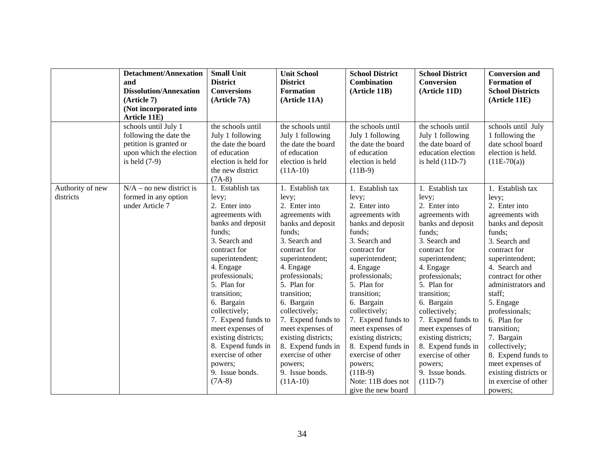|                  | <b>Detachment/Annexation</b>                   | <b>Small Unit</b>                     | <b>Unit School</b>                    | <b>School District</b>                | <b>School District</b>                | <b>Conversion and</b>                 |
|------------------|------------------------------------------------|---------------------------------------|---------------------------------------|---------------------------------------|---------------------------------------|---------------------------------------|
|                  | and                                            | <b>District</b>                       | <b>District</b>                       | <b>Combination</b>                    | <b>Conversion</b>                     | <b>Formation of</b>                   |
|                  | <b>Dissolution/Annexation</b>                  | <b>Conversions</b>                    | <b>Formation</b>                      | (Article 11B)                         | (Article 11D)                         | <b>School Districts</b>               |
|                  | (Article 7)                                    | (Article 7A)                          | (Article 11A)                         |                                       |                                       | (Article 11E)                         |
|                  | (Not incorporated into                         |                                       |                                       |                                       |                                       |                                       |
|                  | Article 11E)                                   |                                       |                                       |                                       |                                       |                                       |
|                  | schools until July 1<br>following the date the | the schools until<br>July 1 following | the schools until<br>July 1 following | the schools until<br>July 1 following | the schools until<br>July 1 following | schools until July<br>1 following the |
|                  | petition is granted or                         | the date the board                    | the date the board                    | the date the board                    | the date board of                     | date school board                     |
|                  | upon which the election                        | of education                          | of education                          | of education                          | education election                    | election is held.                     |
|                  | is held $(7-9)$                                | election is held for                  | election is held                      | election is held                      | is held $(11D-7)$                     | $(11E-70(a))$                         |
|                  |                                                | the new district                      | $(11A-10)$                            | $(11B-9)$                             |                                       |                                       |
|                  |                                                | $(7A-8)$                              |                                       |                                       |                                       |                                       |
| Authority of new | $N/A$ – no new district is                     | 1. Establish tax                      | 1. Establish tax                      | 1. Establish tax                      | 1. Establish tax                      | 1. Establish tax                      |
| districts        | formed in any option                           | levy;                                 | levy;                                 | levy;                                 | levy;                                 | levy;                                 |
|                  | under Article 7                                | 2. Enter into                         | 2. Enter into                         | 2. Enter into                         | 2. Enter into                         | 2. Enter into                         |
|                  |                                                | agreements with                       | agreements with                       | agreements with                       | agreements with                       | agreements with                       |
|                  |                                                | banks and deposit                     | banks and deposit                     | banks and deposit                     | banks and deposit                     | banks and deposit                     |
|                  |                                                | funds;                                | funds;                                | funds;                                | funds;                                | funds;                                |
|                  |                                                | 3. Search and                         | 3. Search and                         | 3. Search and                         | 3. Search and                         | 3. Search and                         |
|                  |                                                | contract for                          | contract for                          | contract for                          | contract for                          | contract for                          |
|                  |                                                | superintendent;                       | superintendent;                       | superintendent;                       | superintendent;                       | superintendent;                       |
|                  |                                                | 4. Engage                             | 4. Engage                             | 4. Engage                             | 4. Engage                             | 4. Search and                         |
|                  |                                                | professionals;                        | professionals;                        | professionals;                        | professionals;                        | contract for other                    |
|                  |                                                | 5. Plan for                           | 5. Plan for                           | 5. Plan for                           | 5. Plan for                           | administrators and                    |
|                  |                                                | transition;                           | transition;                           | transition;                           | transition;                           | staff;                                |
|                  |                                                | 6. Bargain                            | 6. Bargain                            | 6. Bargain                            | 6. Bargain                            | 5. Engage                             |
|                  |                                                | collectively;                         | collectively;                         | collectively;                         | collectively;                         | professionals;                        |
|                  |                                                | 7. Expend funds to                    | 7. Expend funds to                    | 7. Expend funds to                    | 7. Expend funds to                    | 6. Plan for                           |
|                  |                                                | meet expenses of                      | meet expenses of                      | meet expenses of                      | meet expenses of                      | transition;                           |
|                  |                                                | existing districts;                   | existing districts;                   | existing districts;                   | existing districts;                   | 7. Bargain                            |
|                  |                                                | 8. Expend funds in                    | 8. Expend funds in                    | 8. Expend funds in                    | 8. Expend funds in                    | collectively;                         |
|                  |                                                | exercise of other                     | exercise of other                     | exercise of other                     | exercise of other                     | 8. Expend funds to                    |
|                  |                                                | powers;                               | powers;                               | powers;                               | powers;                               | meet expenses of                      |
|                  |                                                | 9. Issue bonds.                       | 9. Issue bonds.                       | $(11B-9)$                             | 9. Issue bonds.                       | existing districts or                 |
|                  |                                                | $(7A-8)$                              | $(11A-10)$                            | Note: 11B does not                    | $(11D-7)$                             | in exercise of other                  |
|                  |                                                |                                       |                                       | give the new board                    |                                       | powers;                               |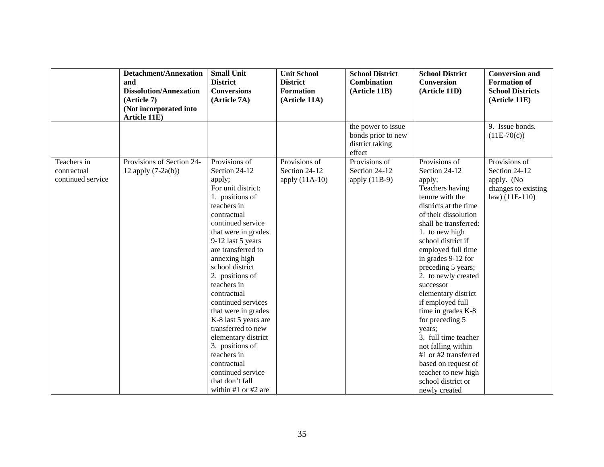|                   | <b>Detachment/Annexation</b>  | <b>Small Unit</b>                | <b>Unit School</b> | <b>School District</b> | <b>School District</b>                     | <b>Conversion and</b>   |
|-------------------|-------------------------------|----------------------------------|--------------------|------------------------|--------------------------------------------|-------------------------|
|                   | and                           | <b>District</b>                  | <b>District</b>    | <b>Combination</b>     | <b>Conversion</b>                          | <b>Formation of</b>     |
|                   | <b>Dissolution/Annexation</b> | <b>Conversions</b>               | <b>Formation</b>   | (Article 11B)          | (Article 11D)                              | <b>School Districts</b> |
|                   | (Article 7)                   | (Article 7A)                     | (Article 11A)      |                        |                                            | (Article 11E)           |
|                   | (Not incorporated into        |                                  |                    |                        |                                            |                         |
|                   | Article 11E)                  |                                  |                    |                        |                                            |                         |
|                   |                               |                                  |                    | the power to issue     |                                            | 9. Issue bonds.         |
|                   |                               |                                  |                    | bonds prior to new     |                                            | $(11E-70(c))$           |
|                   |                               |                                  |                    | district taking        |                                            |                         |
|                   |                               |                                  |                    | effect                 |                                            |                         |
| Teachers in       | Provisions of Section 24-     | Provisions of                    | Provisions of      | Provisions of          | Provisions of                              | Provisions of           |
| contractual       | 12 apply $(7-2a(b))$          | Section 24-12                    | Section 24-12      | Section 24-12          | Section 24-12                              | Section 24-12           |
| continued service |                               | apply;                           | apply $(11A-10)$   | apply $(11B-9)$        | apply;                                     | apply. (No              |
|                   |                               | For unit district:               |                    |                        | Teachers having                            | changes to existing     |
|                   |                               | 1. positions of                  |                    |                        | tenure with the                            | $law)$ (11E-110)        |
|                   |                               | teachers in                      |                    |                        | districts at the time                      |                         |
|                   |                               | contractual                      |                    |                        | of their dissolution                       |                         |
|                   |                               | continued service                |                    |                        | shall be transferred:                      |                         |
|                   |                               | that were in grades              |                    |                        | 1. to new high                             |                         |
|                   |                               | 9-12 last 5 years                |                    |                        | school district if                         |                         |
|                   |                               | are transferred to               |                    |                        | employed full time                         |                         |
|                   |                               | annexing high                    |                    |                        | in grades 9-12 for                         |                         |
|                   |                               | school district                  |                    |                        | preceding 5 years;                         |                         |
|                   |                               | 2. positions of                  |                    |                        | 2. to newly created                        |                         |
|                   |                               | teachers in                      |                    |                        | successor                                  |                         |
|                   |                               | contractual                      |                    |                        | elementary district                        |                         |
|                   |                               | continued services               |                    |                        | if employed full                           |                         |
|                   |                               | that were in grades              |                    |                        | time in grades K-8                         |                         |
|                   |                               | K-8 last 5 years are             |                    |                        | for preceding 5                            |                         |
|                   |                               | transferred to new               |                    |                        | years;<br>3. full time teacher             |                         |
|                   |                               | elementary district              |                    |                        |                                            |                         |
|                   |                               | 3. positions of<br>teachers in   |                    |                        | not falling within<br>#1 or #2 transferred |                         |
|                   |                               |                                  |                    |                        |                                            |                         |
|                   |                               | contractual<br>continued service |                    |                        | based on request of                        |                         |
|                   |                               | that don't fall                  |                    |                        | teacher to new high<br>school district or  |                         |
|                   |                               |                                  |                    |                        |                                            |                         |
|                   |                               | within #1 or #2 are              |                    |                        | newly created                              |                         |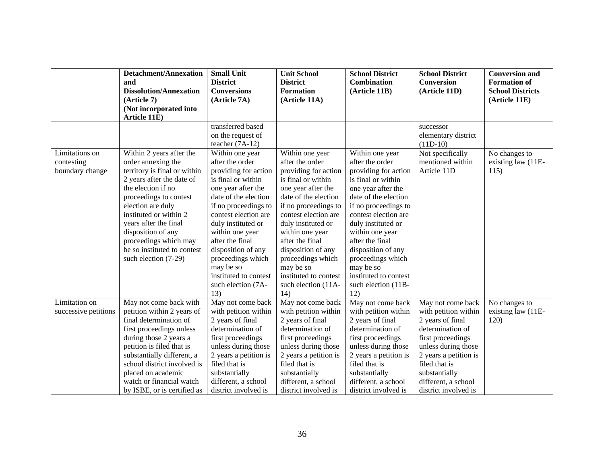|                      | <b>Detachment/Annexation</b>  | <b>Small Unit</b>     | <b>Unit School</b>    | <b>School District</b> | <b>School District</b> | <b>Conversion and</b>   |
|----------------------|-------------------------------|-----------------------|-----------------------|------------------------|------------------------|-------------------------|
|                      | and                           | <b>District</b>       | <b>District</b>       | <b>Combination</b>     | <b>Conversion</b>      | <b>Formation of</b>     |
|                      | <b>Dissolution/Annexation</b> | <b>Conversions</b>    | <b>Formation</b>      | (Article 11B)          | (Article 11D)          | <b>School Districts</b> |
|                      | (Article 7)                   | (Article 7A)          | (Article 11A)         |                        |                        | (Article 11E)           |
|                      | (Not incorporated into        |                       |                       |                        |                        |                         |
|                      | Article 11E)                  |                       |                       |                        |                        |                         |
|                      |                               | transferred based     |                       |                        | successor              |                         |
|                      |                               | on the request of     |                       |                        | elementary district    |                         |
|                      |                               | teacher $(7A-12)$     |                       |                        | $(11D-10)$             |                         |
| Limitations on       | Within 2 years after the      | Within one year       | Within one year       | Within one year        | Not specifically       | No changes to           |
| contesting           | order annexing the            | after the order       | after the order       | after the order        | mentioned within       | existing law (11E-      |
| boundary change      | territory is final or within  | providing for action  | providing for action  | providing for action   | Article 11D            | 115)                    |
|                      | 2 years after the date of     | is final or within    | is final or within    | is final or within     |                        |                         |
|                      | the election if no            | one year after the    | one year after the    | one year after the     |                        |                         |
|                      | proceedings to contest        | date of the election  | date of the election  | date of the election   |                        |                         |
|                      | election are duly             | if no proceedings to  | if no proceedings to  | if no proceedings to   |                        |                         |
|                      | instituted or within 2        | contest election are  | contest election are  | contest election are   |                        |                         |
|                      | years after the final         | duly instituted or    | duly instituted or    | duly instituted or     |                        |                         |
|                      | disposition of any            | within one year       | within one year       | within one year        |                        |                         |
|                      | proceedings which may         | after the final       | after the final       | after the final        |                        |                         |
|                      | be so instituted to contest   | disposition of any    | disposition of any    | disposition of any     |                        |                         |
|                      | such election (7-29)          | proceedings which     | proceedings which     | proceedings which      |                        |                         |
|                      |                               | may be so             | may be so             | may be so              |                        |                         |
|                      |                               | instituted to contest | instituted to contest | instituted to contest  |                        |                         |
|                      |                               | such election (7A-    | such election (11A-   | such election (11B-    |                        |                         |
|                      |                               | 13)                   | 14)                   | 12)                    |                        |                         |
| Limitation on        | May not come back with        | May not come back     | May not come back     | May not come back      | May not come back      | No changes to           |
| successive petitions | petition within 2 years of    | with petition within  | with petition within  | with petition within   | with petition within   | existing law (11E-      |
|                      | final determination of        | 2 years of final      | 2 years of final      | 2 years of final       | 2 years of final       | 120)                    |
|                      | first proceedings unless      | determination of      | determination of      | determination of       | determination of       |                         |
|                      | during those 2 years a        | first proceedings     | first proceedings     | first proceedings      | first proceedings      |                         |
|                      | petition is filed that is     | unless during those   | unless during those   | unless during those    | unless during those    |                         |
|                      | substantially different, a    | 2 years a petition is | 2 years a petition is | 2 years a petition is  | 2 years a petition is  |                         |
|                      | school district involved is   | filed that is         | filed that is         | filed that is          | filed that is          |                         |
|                      | placed on academic            | substantially         | substantially         | substantially          | substantially          |                         |
|                      | watch or financial watch      | different, a school   | different, a school   | different, a school    | different, a school    |                         |
|                      | by ISBE, or is certified as   | district involved is  | district involved is  | district involved is   | district involved is   |                         |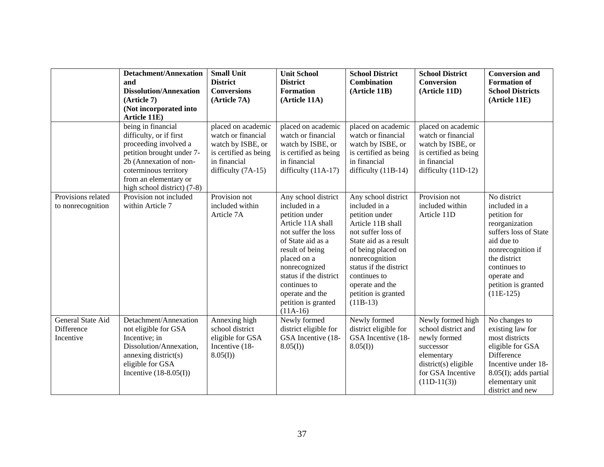|                                              | <b>Detachment/Annexation</b><br>and<br><b>Dissolution/Annexation</b><br>(Article 7)<br>(Not incorporated into<br>Article 11E)                                                                                  | <b>Small Unit</b><br><b>District</b><br><b>Conversions</b><br>(Article 7A)                                                     | <b>Unit School</b><br><b>District</b><br><b>Formation</b><br>(Article 11A)                                                                                                                                                                                                   | <b>School District</b><br><b>Combination</b><br>(Article 11B)                                                                                                                                                                                                        | <b>School District</b><br><b>Conversion</b><br>(Article 11D)                                                                                        | <b>Conversion and</b><br><b>Formation of</b><br><b>School Districts</b><br>(Article 11E)                                                                                                                        |
|----------------------------------------------|----------------------------------------------------------------------------------------------------------------------------------------------------------------------------------------------------------------|--------------------------------------------------------------------------------------------------------------------------------|------------------------------------------------------------------------------------------------------------------------------------------------------------------------------------------------------------------------------------------------------------------------------|----------------------------------------------------------------------------------------------------------------------------------------------------------------------------------------------------------------------------------------------------------------------|-----------------------------------------------------------------------------------------------------------------------------------------------------|-----------------------------------------------------------------------------------------------------------------------------------------------------------------------------------------------------------------|
|                                              | being in financial<br>difficulty, or if first<br>proceeding involved a<br>petition brought under 7-<br>2b (Annexation of non-<br>coterminous territory<br>from an elementary or<br>high school district) (7-8) | placed on academic<br>watch or financial<br>watch by ISBE, or<br>is certified as being<br>in financial<br>difficulty $(7A-15)$ | placed on academic<br>watch or financial<br>watch by ISBE, or<br>is certified as being<br>in financial<br>difficulty $(11A-17)$                                                                                                                                              | placed on academic<br>watch or financial<br>watch by ISBE, or<br>is certified as being<br>in financial<br>difficulty (11B-14)                                                                                                                                        | placed on academic<br>watch or financial<br>watch by ISBE, or<br>is certified as being<br>in financial<br>difficulty $(11D-12)$                     |                                                                                                                                                                                                                 |
| Provisions related<br>to nonrecognition      | Provision not included<br>within Article 7                                                                                                                                                                     | Provision not<br>included within<br>Article 7A                                                                                 | Any school district<br>included in a<br>petition under<br>Article 11A shall<br>not suffer the loss<br>of State aid as a<br>result of being<br>placed on a<br>nonrecognized<br>status if the district<br>continues to<br>operate and the<br>petition is granted<br>$(11A-16)$ | Any school district<br>included in a<br>petition under<br>Article 11B shall<br>not suffer loss of<br>State aid as a result<br>of being placed on<br>nonrecognition<br>status if the district<br>continues to<br>operate and the<br>petition is granted<br>$(11B-13)$ | Provision not<br>included within<br>Article 11D                                                                                                     | No district<br>included in a<br>petition for<br>reorganization<br>suffers loss of State<br>aid due to<br>nonrecognition if<br>the district<br>continues to<br>operate and<br>petition is granted<br>$(11E-125)$ |
| General State Aid<br>Difference<br>Incentive | Detachment/Annexation<br>not eligible for GSA<br>Incentive; in<br>Dissolution/Annexation,<br>annexing district(s)<br>eligible for GSA<br>Incentive $(18-8.05(I))$                                              | Annexing high<br>school district<br>eligible for GSA<br>Incentive (18-<br>8.05(I)                                              | Newly formed<br>district eligible for<br>GSA Incentive (18-<br>$8.05(I)$ )                                                                                                                                                                                                   | Newly formed<br>district eligible for<br>GSA Incentive (18-<br>8.05(I)                                                                                                                                                                                               | Newly formed high<br>school district and<br>newly formed<br>successor<br>elementary<br>$district(s)$ eligible<br>for GSA Incentive<br>$(11D-11(3))$ | No changes to<br>existing law for<br>most districts<br>eligible for GSA<br>Difference<br>Incentive under 18-<br>8.05(I); adds partial<br>elementary unit<br>district and new                                    |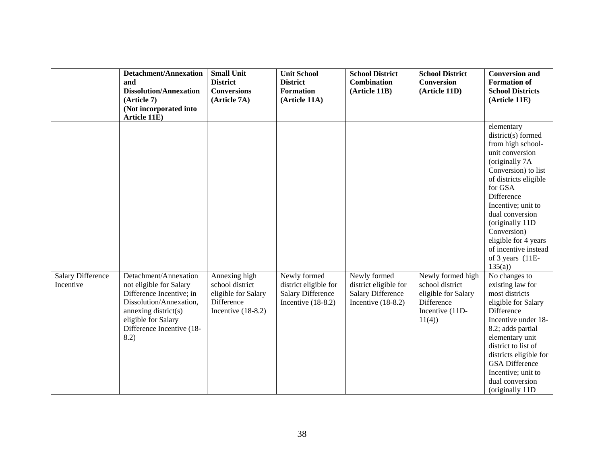|                                       | <b>Detachment/Annexation</b><br>and<br><b>Dissolution/Annexation</b><br>(Article 7)<br>(Not incorporated into<br>Article 11E)                                                               | <b>Small Unit</b><br><b>District</b><br><b>Conversions</b><br>(Article 7A)                    | <b>Unit School</b><br><b>District</b><br><b>Formation</b><br>(Article 11A)                | <b>School District</b><br><b>Combination</b><br>(Article 11B)                             | <b>School District</b><br><b>Conversion</b><br>(Article 11D)                                          | <b>Conversion and</b><br><b>Formation of</b><br><b>School Districts</b><br>(Article 11E)                                                                                                                                                                                                                                      |
|---------------------------------------|---------------------------------------------------------------------------------------------------------------------------------------------------------------------------------------------|-----------------------------------------------------------------------------------------------|-------------------------------------------------------------------------------------------|-------------------------------------------------------------------------------------------|-------------------------------------------------------------------------------------------------------|-------------------------------------------------------------------------------------------------------------------------------------------------------------------------------------------------------------------------------------------------------------------------------------------------------------------------------|
|                                       |                                                                                                                                                                                             |                                                                                               |                                                                                           |                                                                                           |                                                                                                       | elementary<br>district(s) formed<br>from high school-<br>unit conversion<br>(originally 7A<br>Conversion) to list<br>of districts eligible<br>for GSA<br>Difference<br>Incentive; unit to<br>dual conversion<br>(originally 11D)<br>Conversion)<br>eligible for 4 years<br>of incentive instead<br>of 3 years (11E-<br>135(a) |
| <b>Salary Difference</b><br>Incentive | Detachment/Annexation<br>not eligible for Salary<br>Difference Incentive; in<br>Dissolution/Annexation,<br>annexing district(s)<br>eligible for Salary<br>Difference Incentive (18-<br>8.2) | Annexing high<br>school district<br>eligible for Salary<br>Difference<br>Incentive $(18-8.2)$ | Newly formed<br>district eligible for<br><b>Salary Difference</b><br>Incentive $(18-8.2)$ | Newly formed<br>district eligible for<br><b>Salary Difference</b><br>Incentive $(18-8.2)$ | Newly formed high<br>school district<br>eligible for Salary<br>Difference<br>Incentive (11D-<br>11(4) | No changes to<br>existing law for<br>most districts<br>eligible for Salary<br>Difference<br>Incentive under 18-<br>8.2; adds partial<br>elementary unit<br>district to list of<br>districts eligible for<br><b>GSA</b> Difference<br>Incentive; unit to<br>dual conversion<br>(originally 11D)                                |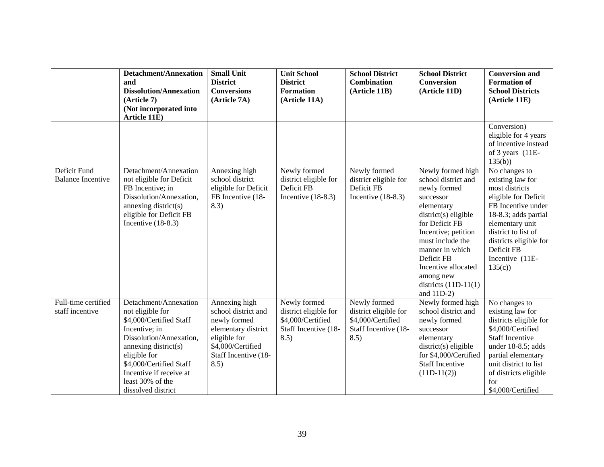|                                          | <b>Detachment/Annexation</b><br>and<br><b>Dissolution/Annexation</b><br>(Article 7)<br>(Not incorporated into                                                                                                                                            | <b>Small Unit</b><br><b>District</b><br><b>Conversions</b><br>(Article 7A)                                                                       | <b>Unit School</b><br><b>District</b><br><b>Formation</b><br>(Article 11A)                 | <b>School District</b><br>Combination<br>(Article 11B)                                     | <b>School District</b><br><b>Conversion</b><br>(Article 11D)                                                                                                                                                                                                                               | <b>Conversion and</b><br><b>Formation of</b><br><b>School Districts</b><br>(Article 11E)                                                                                                                                                 |
|------------------------------------------|----------------------------------------------------------------------------------------------------------------------------------------------------------------------------------------------------------------------------------------------------------|--------------------------------------------------------------------------------------------------------------------------------------------------|--------------------------------------------------------------------------------------------|--------------------------------------------------------------------------------------------|--------------------------------------------------------------------------------------------------------------------------------------------------------------------------------------------------------------------------------------------------------------------------------------------|------------------------------------------------------------------------------------------------------------------------------------------------------------------------------------------------------------------------------------------|
|                                          | Article 11E)                                                                                                                                                                                                                                             |                                                                                                                                                  |                                                                                            |                                                                                            |                                                                                                                                                                                                                                                                                            | Conversion)<br>eligible for 4 years<br>of incentive instead<br>of 3 years (11E-<br>135(b)                                                                                                                                                |
| Deficit Fund<br><b>Balance Incentive</b> | Detachment/Annexation<br>not eligible for Deficit<br>FB Incentive; in<br>Dissolution/Annexation,<br>annexing district(s)<br>eligible for Deficit FB<br>Incentive $(18-8.3)$                                                                              | Annexing high<br>school district<br>eligible for Deficit<br>FB Incentive (18-<br>8.3)                                                            | Newly formed<br>district eligible for<br>Deficit FB<br>Incentive $(18-8.3)$                | Newly formed<br>district eligible for<br>Deficit FB<br>Incentive $(18-8.3)$                | Newly formed high<br>school district and<br>newly formed<br>successor<br>elementary<br>$district(s)$ eligible<br>for Deficit FB<br>Incentive; petition<br>must include the<br>manner in which<br>Deficit FB<br>Incentive allocated<br>among new<br>districts $(11D-11(1)$<br>and $11D-2$ ) | No changes to<br>existing law for<br>most districts<br>eligible for Deficit<br>FB Incentive under<br>18-8.3; adds partial<br>elementary unit<br>district to list of<br>districts eligible for<br>Deficit FB<br>Incentive (11E-<br>135(c) |
| Full-time certified<br>staff incentive   | Detachment/Annexation<br>not eligible for<br>\$4,000/Certified Staff<br>Incentive; in<br>Dissolution/Annexation,<br>annexing district(s)<br>eligible for<br>\$4,000/Certified Staff<br>Incentive if receive at<br>least 30% of the<br>dissolved district | Annexing high<br>school district and<br>newly formed<br>elementary district<br>eligible for<br>\$4,000/Certified<br>Staff Incentive (18-<br>8.5) | Newly formed<br>district eligible for<br>\$4,000/Certified<br>Staff Incentive (18-<br>8.5) | Newly formed<br>district eligible for<br>\$4,000/Certified<br>Staff Incentive (18-<br>8.5) | Newly formed high<br>school district and<br>newly formed<br>successor<br>elementary<br>$district(s)$ eligible<br>for \$4,000/Certified<br><b>Staff Incentive</b><br>$(11D-11(2))$                                                                                                          | No changes to<br>existing law for<br>districts eligible for<br>\$4,000/Certified<br><b>Staff Incentive</b><br>under 18-8.5; adds<br>partial elementary<br>unit district to list<br>of districts eligible<br>for<br>\$4,000/Certified     |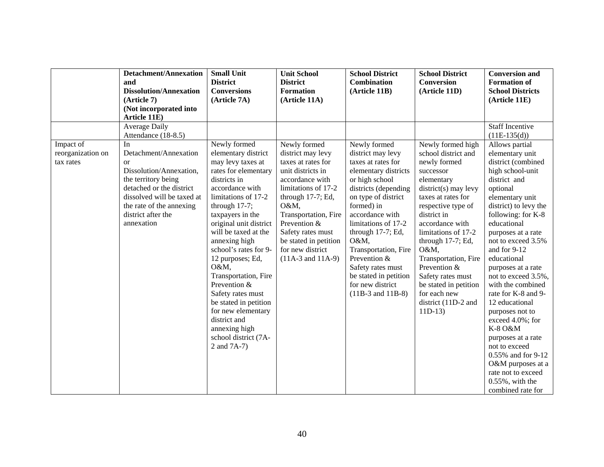|                   | <b>Detachment/Annexation</b>                | <b>Small Unit</b>      | <b>Unit School</b>    | <b>School District</b> | <b>School District</b> | <b>Conversion and</b>                    |
|-------------------|---------------------------------------------|------------------------|-----------------------|------------------------|------------------------|------------------------------------------|
|                   | and                                         | <b>District</b>        | <b>District</b>       | Combination            | Conversion             | <b>Formation of</b>                      |
|                   | <b>Dissolution/Annexation</b>               | <b>Conversions</b>     | <b>Formation</b>      | (Article 11B)          | (Article 11D)          | <b>School Districts</b>                  |
|                   | (Article 7)                                 | (Article 7A)           | (Article 11A)         |                        |                        | (Article 11E)                            |
|                   | (Not incorporated into                      |                        |                       |                        |                        |                                          |
|                   | Article 11E)                                |                        |                       |                        |                        |                                          |
|                   | <b>Average Daily</b><br>Attendance (18-8.5) |                        |                       |                        |                        | <b>Staff Incentive</b><br>$(11E-135(d))$ |
| Impact of         | In                                          | Newly formed           | Newly formed          | Newly formed           | Newly formed high      | Allows partial                           |
| reorganization on | Detachment/Annexation                       | elementary district    | district may levy     | district may levy      | school district and    | elementary unit                          |
| tax rates         | $\alpha$                                    | may levy taxes at      | taxes at rates for    | taxes at rates for     | newly formed           | district (combined                       |
|                   | Dissolution/Annexation,                     | rates for elementary   | unit districts in     | elementary districts   | successor              | high school-unit                         |
|                   | the territory being                         | districts in           | accordance with       | or high school         | elementary             | district and                             |
|                   | detached or the district                    | accordance with        | limitations of 17-2   | districts (depending   | $district(s)$ may levy | optional                                 |
|                   | dissolved will be taxed at                  | limitations of 17-2    | through 17-7; Ed,     | on type of district    | taxes at rates for     | elementary unit                          |
|                   | the rate of the annexing                    | through 17-7;          | O&M,                  | formed) in             | respective type of     | district) to levy the                    |
|                   | district after the                          | taxpayers in the       | Transportation, Fire  | accordance with        | district in            | following: for K-8                       |
|                   | annexation                                  | original unit district | Prevention &          | limitations of 17-2    | accordance with        | educational                              |
|                   |                                             | will be taxed at the   | Safety rates must     | through 17-7; Ed,      | limitations of 17-2    | purposes at a rate                       |
|                   |                                             | annexing high          | be stated in petition | O&M,                   | through 17-7; Ed,      | not to exceed 3.5%                       |
|                   |                                             | school's rates for 9-  | for new district      | Transportation, Fire   | O&M,                   | and for 9-12                             |
|                   |                                             | 12 purposes; Ed,       | $(11A-3$ and $11A-9)$ | Prevention &           | Transportation, Fire   | educational                              |
|                   |                                             | O&M,                   |                       | Safety rates must      | Prevention &           | purposes at a rate                       |
|                   |                                             | Transportation, Fire   |                       | be stated in petition  | Safety rates must      | not to exceed 3.5%,                      |
|                   |                                             | Prevention &           |                       | for new district       | be stated in petition  | with the combined                        |
|                   |                                             | Safety rates must      |                       | $(11B-3$ and $11B-8)$  | for each new           | rate for K-8 and 9-                      |
|                   |                                             | be stated in petition  |                       |                        | district (11D-2 and    | 12 educational                           |
|                   |                                             | for new elementary     |                       |                        | $11D-13$               | purposes not to                          |
|                   |                                             | district and           |                       |                        |                        | exceed 4.0%; for                         |
|                   |                                             | annexing high          |                       |                        |                        | K-8 O&M                                  |
|                   |                                             | school district (7A-   |                       |                        |                        | purposes at a rate                       |
|                   |                                             | 2 and 7A-7)            |                       |                        |                        | not to exceed                            |
|                   |                                             |                        |                       |                        |                        | 0.55% and for 9-12                       |
|                   |                                             |                        |                       |                        |                        | O&M purposes at a                        |
|                   |                                             |                        |                       |                        |                        | rate not to exceed                       |
|                   |                                             |                        |                       |                        |                        | $0.55\%$ , with the                      |
|                   |                                             |                        |                       |                        |                        | combined rate for                        |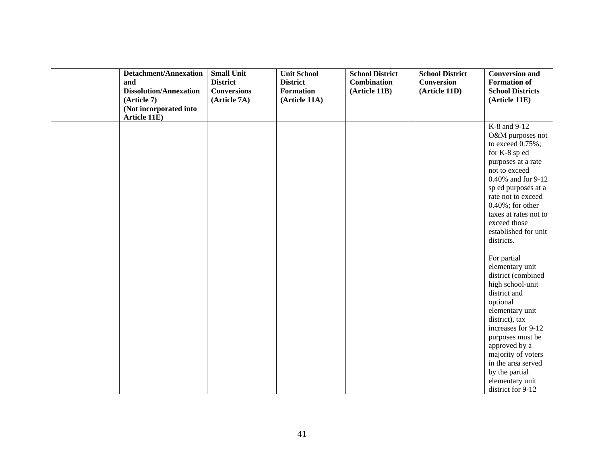| <b>Detachment/Annexation</b>  | <b>Small Unit</b>  | <b>Unit School</b> | <b>School District</b> | <b>School District</b> | <b>Conversion and</b>                    |
|-------------------------------|--------------------|--------------------|------------------------|------------------------|------------------------------------------|
| and                           | <b>District</b>    | <b>District</b>    | <b>Combination</b>     | <b>Conversion</b>      | <b>Formation of</b>                      |
| <b>Dissolution/Annexation</b> | <b>Conversions</b> | <b>Formation</b>   | (Article 11B)          | (Article 11D)          | <b>School Districts</b>                  |
| (Article 7)                   | (Article 7A)       | (Article 11A)      |                        |                        | (Article 11E)                            |
| (Not incorporated into        |                    |                    |                        |                        |                                          |
| Article 11E)                  |                    |                    |                        |                        |                                          |
|                               |                    |                    |                        |                        | K-8 and 9-12                             |
|                               |                    |                    |                        |                        | O&M purposes not                         |
|                               |                    |                    |                        |                        | to exceed $0.75\%$ ;                     |
|                               |                    |                    |                        |                        | for K-8 sp ed                            |
|                               |                    |                    |                        |                        | purposes at a rate                       |
|                               |                    |                    |                        |                        | not to exceed                            |
|                               |                    |                    |                        |                        | 0.40% and for 9-12                       |
|                               |                    |                    |                        |                        | sp ed purposes at a                      |
|                               |                    |                    |                        |                        | rate not to exceed                       |
|                               |                    |                    |                        |                        | $0.40\%$ ; for other                     |
|                               |                    |                    |                        |                        | taxes at rates not to                    |
|                               |                    |                    |                        |                        | exceed those                             |
|                               |                    |                    |                        |                        | established for unit                     |
|                               |                    |                    |                        |                        | districts.                               |
|                               |                    |                    |                        |                        |                                          |
|                               |                    |                    |                        |                        | For partial                              |
|                               |                    |                    |                        |                        | elementary unit                          |
|                               |                    |                    |                        |                        | district (combined                       |
|                               |                    |                    |                        |                        | high school-unit                         |
|                               |                    |                    |                        |                        | district and                             |
|                               |                    |                    |                        |                        | optional                                 |
|                               |                    |                    |                        |                        | elementary unit                          |
|                               |                    |                    |                        |                        | district), tax<br>increases for 9-12     |
|                               |                    |                    |                        |                        |                                          |
|                               |                    |                    |                        |                        | purposes must be                         |
|                               |                    |                    |                        |                        | approved by a                            |
|                               |                    |                    |                        |                        | majority of voters<br>in the area served |
|                               |                    |                    |                        |                        |                                          |
|                               |                    |                    |                        |                        | by the partial                           |
|                               |                    |                    |                        |                        | elementary unit                          |
|                               |                    |                    |                        |                        | district for 9-12                        |